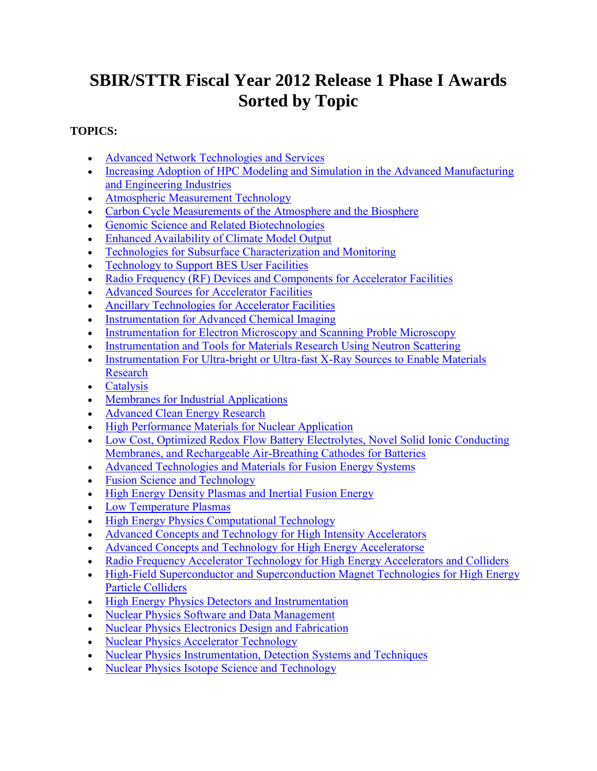# **SBIR/STTR Fiscal Year 2012 Release 1 Phase I Awards Sorted by Topic**

## <span id="page-0-0"></span>**TOPICS:**

- [Advanced Network Technologies and Services](#page-1-0)
- Increasing Adoption of HPC Modeling and Simulation in the Advanced Manufacturing [and Engineering Industries](#page-3-0)
- [Atmospheric Measurement Technology](#page-9-0)
- [Carbon Cycle Measurements of the Atmosphere and the Biosphere](#page-11-0)
- [Genomic Science and Related Biotechnologies](#page-12-0)
- [Enhanced Availability of Climate Model Output](#page-14-0)
- [Technologies for Subsurface Characterization and Monitoring](#page-14-1)
- [Technology to Support BES User Facilities](#page-16-0)
- [Radio Frequency \(RF\) Devices and Components for Accelerator Facilities](#page-20-0)
- [Advanced Sources for Accelerator Facilities](#page-21-0)
- [Ancillary Technologies for Accelerator Facilities](#page-23-0)
- [Instrumentation for Advanced Chemical Imaging](#page-25-0)
- [Instrumentation for Electron Microscopy and Scanning Proble Microscopy](#page-26-0)
- [Instrumentation and Tools for Materials Research Using Neutron Scattering](#page-27-0)
- Instrumentation For Ultra-bright or Ultra-fast X-Ray Sources to Enable Materials [Research](#page-28-0)
- [Catalysis](#page-29-0)
- [Membranes for Industrial Applications](#page-31-0)
- [Advanced Clean Energy Research](#page-33-0)
- [High Performance Materials for Nuclear Application](#page-34-0)
- [Low Cost, Optimized Redox Flow Battery Electrolytes, Novel Solid Ionic Conducting](#page-35-0)  [Membranes, and Rechargeable Air-Breathing Cathodes for Batteries](#page-35-0)
- [Advanced Technologies and Materials for Fusion Energy Systems](#page-37-0)
- [Fusion Science and Technology](#page-39-0)
- [High Energy Density Plasmas and Inertial Fusion Energy](#page-41-0)
- [Low Temperature Plasmas](#page-41-1)
- [High Energy Physics Computational Technology](#page-42-0)
- [Advanced Concepts and Technology for High Intensity Accelerators](#page-42-1)
- [Advanced Concepts and Technology for High Energy Acceleratorse](#page-44-0)
- [Radio Frequency Accelerator Technology for High Energy Accelerators and Colliders](#page-45-0)
- High-Field Superconductor and Superconduction Magnet Technologies for High Energy [Particle Colliders](#page-48-0)
- [High Energy Physics Detectors and Instrumentation](#page-50-0)
- [Nuclear Physics Software and Data Management](#page-52-0)
- [Nuclear Physics Electronics Design and Fabrication](#page-53-0)
- [Nuclear Physics Accelerator Technology](#page-54-0)
- [Nuclear Physics Instrumentation, Detection Systems and Techniques](#page-56-0)
- [Nuclear Physics Isotope Science and Technology](#page-58-0)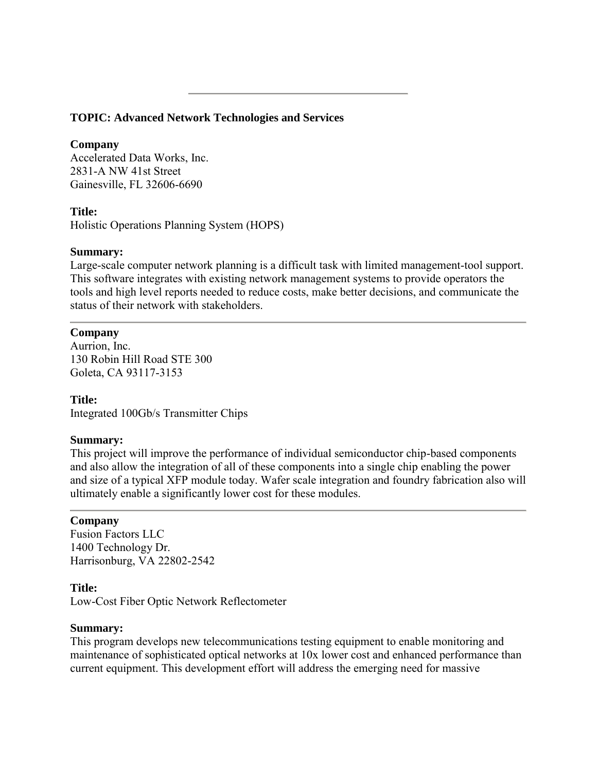## <span id="page-1-0"></span>**TOPIC: Advanced Network Technologies and Services**

## **Company**

Accelerated Data Works, Inc. 2831-A NW 41st Street Gainesville, FL 32606-6690

## **Title:**

Holistic Operations Planning System (HOPS)

## **Summary:**

Large-scale computer network planning is a difficult task with limited management-tool support. This software integrates with existing network management systems to provide operators the tools and high level reports needed to reduce costs, make better decisions, and communicate the status of their network with stakeholders.

## **Company**

Aurrion, Inc. 130 Robin Hill Road STE 300 Goleta, CA 93117-3153

## **Title:**

Integrated 100Gb/s Transmitter Chips

## **Summary:**

This project will improve the performance of individual semiconductor chip-based components and also allow the integration of all of these components into a single chip enabling the power and size of a typical XFP module today. Wafer scale integration and foundry fabrication also will ultimately enable a significantly lower cost for these modules.

## **Company**

Fusion Factors LLC 1400 Technology Dr. Harrisonburg, VA 22802-2542

## **Title:**

Low-Cost Fiber Optic Network Reflectometer

## **Summary:**

This program develops new telecommunications testing equipment to enable monitoring and maintenance of sophisticated optical networks at 10x lower cost and enhanced performance than current equipment. This development effort will address the emerging need for massive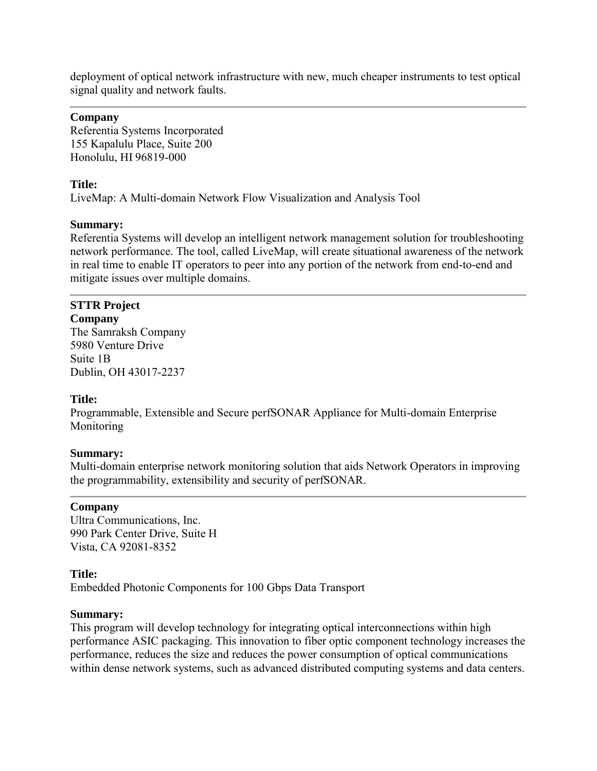deployment of optical network infrastructure with new, much cheaper instruments to test optical signal quality and network faults.

### **Company**

Referentia Systems Incorporated 155 Kapalulu Place, Suite 200 Honolulu, HI 96819-000

### **Title:**

LiveMap: A Multi-domain Network Flow Visualization and Analysis Tool

### **Summary:**

Referentia Systems will develop an intelligent network management solution for troubleshooting network performance. The tool, called LiveMap, will create situational awareness of the network in real time to enable IT operators to peer into any portion of the network from end-to-end and mitigate issues over multiple domains.

## **STTR Project**

**Company** The Samraksh Company 5980 Venture Drive Suite 1B Dublin, OH 43017-2237

## **Title:**

Programmable, Extensible and Secure perfSONAR Appliance for Multi-domain Enterprise Monitoring

#### **Summary:**

Multi-domain enterprise network monitoring solution that aids Network Operators in improving the programmability, extensibility and security of perfSONAR.

## **Company**

Ultra Communications, Inc. 990 Park Center Drive, Suite H Vista, CA 92081-8352

#### **Title:**

Embedded Photonic Components for 100 Gbps Data Transport

#### **Summary:**

This program will develop technology for integrating optical interconnections within high performance ASIC packaging. This innovation to fiber optic component technology increases the performance, reduces the size and reduces the power consumption of optical communications within dense network systems, such as advanced distributed computing systems and data centers.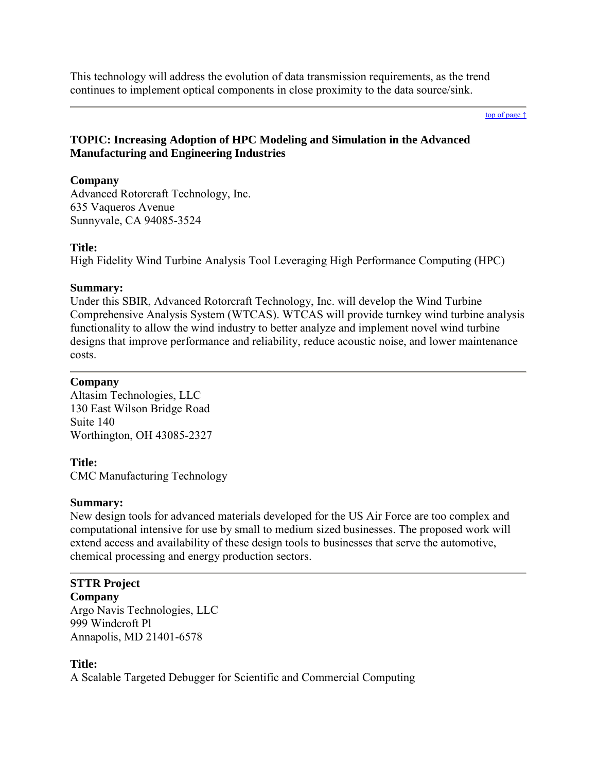This technology will address the evolution of data transmission requirements, as the trend continues to implement optical components in close proximity to the data source/sink.

#### [top of page ↑](#page-0-0)

## <span id="page-3-0"></span>**TOPIC: Increasing Adoption of HPC Modeling and Simulation in the Advanced Manufacturing and Engineering Industries**

## **Company**

Advanced Rotorcraft Technology, Inc. 635 Vaqueros Avenue Sunnyvale, CA 94085-3524

## **Title:**

High Fidelity Wind Turbine Analysis Tool Leveraging High Performance Computing (HPC)

## **Summary:**

Under this SBIR, Advanced Rotorcraft Technology, Inc. will develop the Wind Turbine Comprehensive Analysis System (WTCAS). WTCAS will provide turnkey wind turbine analysis functionality to allow the wind industry to better analyze and implement novel wind turbine designs that improve performance and reliability, reduce acoustic noise, and lower maintenance costs.

## **Company**

Altasim Technologies, LLC 130 East Wilson Bridge Road Suite 140 Worthington, OH 43085-2327

## **Title:**

CMC Manufacturing Technology

## **Summary:**

New design tools for advanced materials developed for the US Air Force are too complex and computational intensive for use by small to medium sized businesses. The proposed work will extend access and availability of these design tools to businesses that serve the automotive, chemical processing and energy production sectors.

# **STTR Project**

**Company** Argo Navis Technologies, LLC 999 Windcroft Pl Annapolis, MD 21401-6578

## **Title:**

A Scalable Targeted Debugger for Scientific and Commercial Computing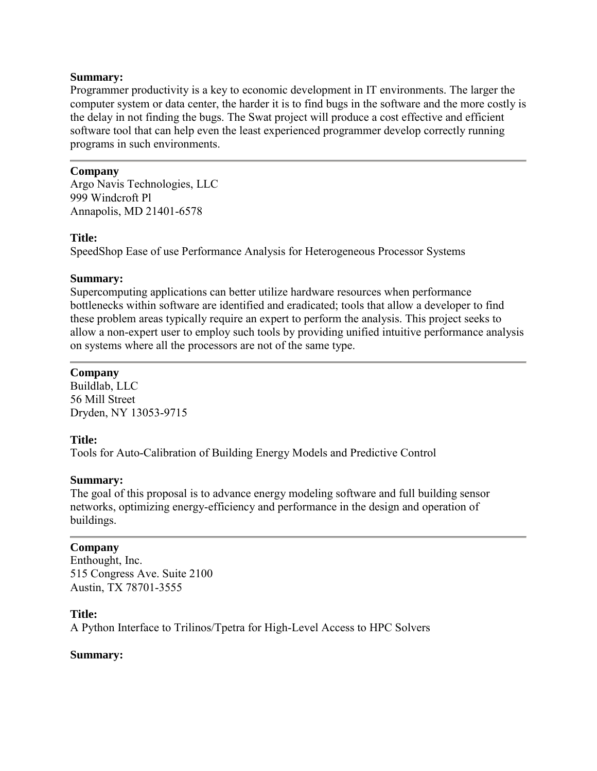Programmer productivity is a key to economic development in IT environments. The larger the computer system or data center, the harder it is to find bugs in the software and the more costly is the delay in not finding the bugs. The Swat project will produce a cost effective and efficient software tool that can help even the least experienced programmer develop correctly running programs in such environments.

## **Company**

Argo Navis Technologies, LLC 999 Windcroft Pl Annapolis, MD 21401-6578

## **Title:**

SpeedShop Ease of use Performance Analysis for Heterogeneous Processor Systems

## **Summary:**

Supercomputing applications can better utilize hardware resources when performance bottlenecks within software are identified and eradicated; tools that allow a developer to find these problem areas typically require an expert to perform the analysis. This project seeks to allow a non-expert user to employ such tools by providing unified intuitive performance analysis on systems where all the processors are not of the same type.

## **Company**

Buildlab, LLC 56 Mill Street Dryden, NY 13053-9715

## **Title:**

Tools for Auto-Calibration of Building Energy Models and Predictive Control

## **Summary:**

The goal of this proposal is to advance energy modeling software and full building sensor networks, optimizing energy-efficiency and performance in the design and operation of buildings.

## **Company**

Enthought, Inc. 515 Congress Ave. Suite 2100 Austin, TX 78701-3555

## **Title:**

A Python Interface to Trilinos/Tpetra for High-Level Access to HPC Solvers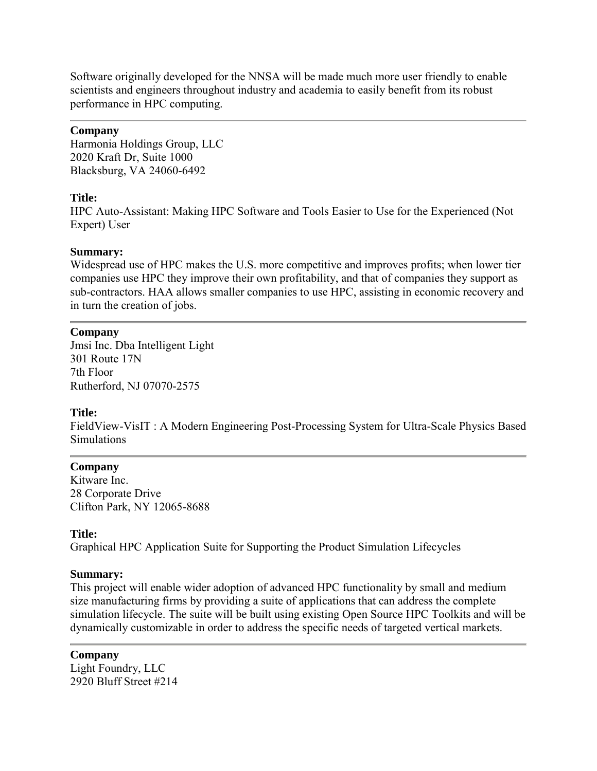Software originally developed for the NNSA will be made much more user friendly to enable scientists and engineers throughout industry and academia to easily benefit from its robust performance in HPC computing.

## **Company**

Harmonia Holdings Group, LLC 2020 Kraft Dr, Suite 1000 Blacksburg, VA 24060-6492

### **Title:**

HPC Auto-Assistant: Making HPC Software and Tools Easier to Use for the Experienced (Not Expert) User

### **Summary:**

Widespread use of HPC makes the U.S. more competitive and improves profits; when lower tier companies use HPC they improve their own profitability, and that of companies they support as sub-contractors. HAA allows smaller companies to use HPC, assisting in economic recovery and in turn the creation of jobs.

### **Company**

Jmsi Inc. Dba Intelligent Light 301 Route 17N 7th Floor Rutherford, NJ 07070-2575

## **Title:**

FieldView-VisIT : A Modern Engineering Post-Processing System for Ultra-Scale Physics Based **Simulations** 

#### **Company**

Kitware Inc. 28 Corporate Drive Clifton Park, NY 12065-8688

#### **Title:**

Graphical HPC Application Suite for Supporting the Product Simulation Lifecycles

#### **Summary:**

This project will enable wider adoption of advanced HPC functionality by small and medium size manufacturing firms by providing a suite of applications that can address the complete simulation lifecycle. The suite will be built using existing Open Source HPC Toolkits and will be dynamically customizable in order to address the specific needs of targeted vertical markets.

**Company** Light Foundry, LLC 2920 Bluff Street #214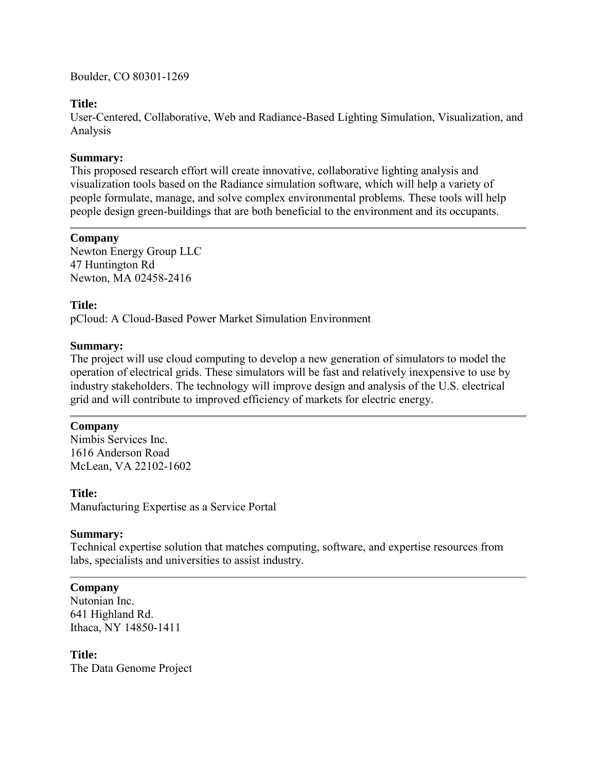Boulder, CO 80301-1269

## **Title:**

User-Centered, Collaborative, Web and Radiance-Based Lighting Simulation, Visualization, and Analysis

## **Summary:**

This proposed research effort will create innovative, collaborative lighting analysis and visualization tools based on the Radiance simulation software, which will help a variety of people formulate, manage, and solve complex environmental problems. These tools will help people design green-buildings that are both beneficial to the environment and its occupants.

## **Company**

Newton Energy Group LLC 47 Huntington Rd Newton, MA 02458-2416

## **Title:**

pCloud: A Cloud-Based Power Market Simulation Environment

## **Summary:**

The project will use cloud computing to develop a new generation of simulators to model the operation of electrical grids. These simulators will be fast and relatively inexpensive to use by industry stakeholders. The technology will improve design and analysis of the U.S. electrical grid and will contribute to improved efficiency of markets for electric energy.

## **Company**

Nimbis Services Inc. 1616 Anderson Road McLean, VA 22102-1602

## **Title:**

Manufacturing Expertise as a Service Portal

## **Summary:**

Technical expertise solution that matches computing, software, and expertise resources from labs, specialists and universities to assist industry.

## **Company**

Nutonian Inc. 641 Highland Rd. Ithaca, NY 14850-1411

**Title:** The Data Genome Project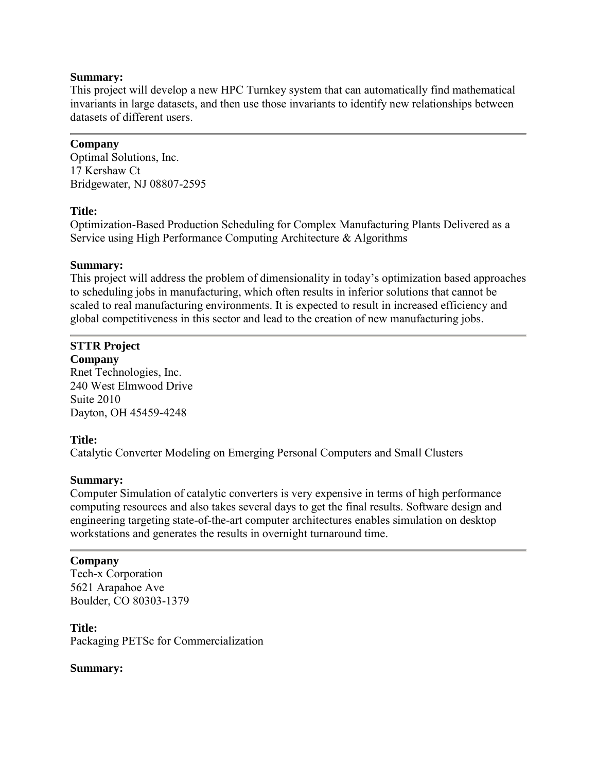This project will develop a new HPC Turnkey system that can automatically find mathematical invariants in large datasets, and then use those invariants to identify new relationships between datasets of different users.

## **Company**

Optimal Solutions, Inc. 17 Kershaw Ct Bridgewater, NJ 08807-2595

## **Title:**

Optimization-Based Production Scheduling for Complex Manufacturing Plants Delivered as a Service using High Performance Computing Architecture & Algorithms

## **Summary:**

This project will address the problem of dimensionality in today's optimization based approaches to scheduling jobs in manufacturing, which often results in inferior solutions that cannot be scaled to real manufacturing environments. It is expected to result in increased efficiency and global competitiveness in this sector and lead to the creation of new manufacturing jobs.

## **STTR Project**

**Company** Rnet Technologies, Inc. 240 West Elmwood Drive Suite 2010 Dayton, OH 45459-4248

## **Title:**

Catalytic Converter Modeling on Emerging Personal Computers and Small Clusters

## **Summary:**

Computer Simulation of catalytic converters is very expensive in terms of high performance computing resources and also takes several days to get the final results. Software design and engineering targeting state-of-the-art computer architectures enables simulation on desktop workstations and generates the results in overnight turnaround time.

## **Company**

Tech-x Corporation 5621 Arapahoe Ave Boulder, CO 80303-1379

## **Title:**

Packaging PETSc for Commercialization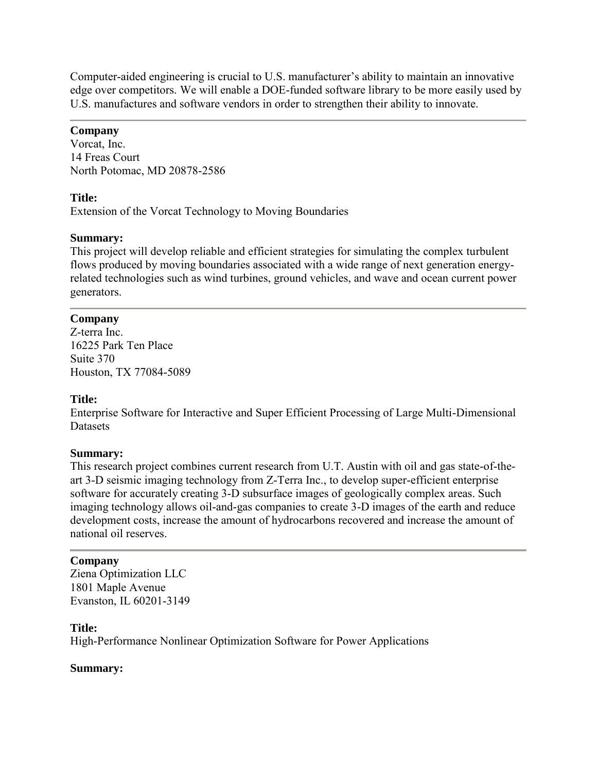Computer-aided engineering is crucial to U.S. manufacturer's ability to maintain an innovative edge over competitors. We will enable a DOE-funded software library to be more easily used by U.S. manufactures and software vendors in order to strengthen their ability to innovate.

## **Company**

Vorcat, Inc. 14 Freas Court North Potomac, MD 20878-2586

## **Title:**

Extension of the Vorcat Technology to Moving Boundaries

## **Summary:**

This project will develop reliable and efficient strategies for simulating the complex turbulent flows produced by moving boundaries associated with a wide range of next generation energyrelated technologies such as wind turbines, ground vehicles, and wave and ocean current power generators.

## **Company**

Z-terra Inc. 16225 Park Ten Place Suite 370 Houston, TX 77084-5089

## **Title:**

Enterprise Software for Interactive and Super Efficient Processing of Large Multi-Dimensional **Datasets** 

## **Summary:**

This research project combines current research from U.T. Austin with oil and gas state-of-theart 3-D seismic imaging technology from Z-Terra Inc., to develop super-efficient enterprise software for accurately creating 3-D subsurface images of geologically complex areas. Such imaging technology allows oil-and-gas companies to create 3-D images of the earth and reduce development costs, increase the amount of hydrocarbons recovered and increase the amount of national oil reserves.

## **Company**

Ziena Optimization LLC 1801 Maple Avenue Evanston, IL 60201-3149

## **Title:**

High-Performance Nonlinear Optimization Software for Power Applications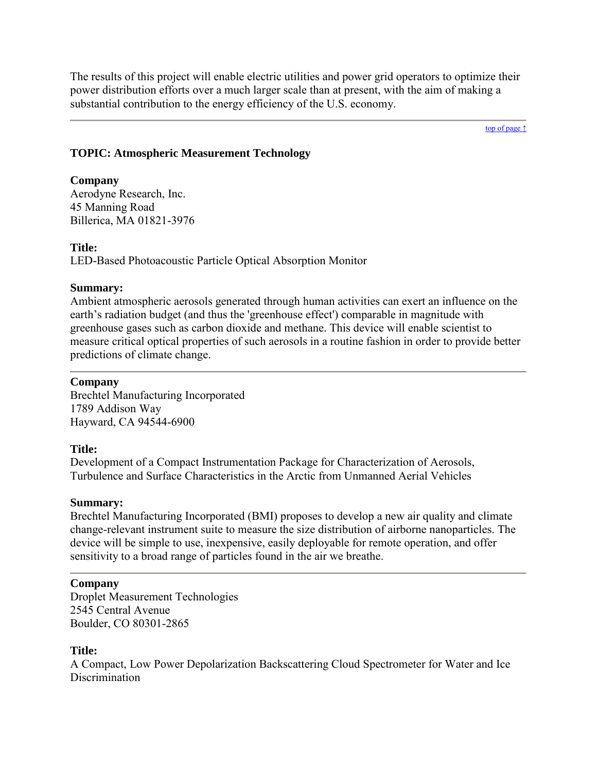The results of this project will enable electric utilities and power grid operators to optimize their power distribution efforts over a much larger scale than at present, with the aim of making a substantial contribution to the energy efficiency of the U.S. economy.

[top of page ↑](#page-0-0)

## <span id="page-9-0"></span>**TOPIC: Atmospheric Measurement Technology**

### **Company**

Aerodyne Research, Inc. 45 Manning Road Billerica, MA 01821-3976

### **Title:**

LED-Based Photoacoustic Particle Optical Absorption Monitor

## **Summary:**

Ambient atmospheric aerosols generated through human activities can exert an influence on the earth's radiation budget (and thus the 'greenhouse effect') comparable in magnitude with greenhouse gases such as carbon dioxide and methane. This device will enable scientist to measure critical optical properties of such aerosols in a routine fashion in order to provide better predictions of climate change.

## **Company**

Brechtel Manufacturing Incorporated 1789 Addison Way Hayward, CA 94544-6900

## **Title:**

Development of a Compact Instrumentation Package for Characterization of Aerosols, Turbulence and Surface Characteristics in the Arctic from Unmanned Aerial Vehicles

## **Summary:**

Brechtel Manufacturing Incorporated (BMI) proposes to develop a new air quality and climate change-relevant instrument suite to measure the size distribution of airborne nanoparticles. The device will be simple to use, inexpensive, easily deployable for remote operation, and offer sensitivity to a broad range of particles found in the air we breathe.

## **Company**

Droplet Measurement Technologies 2545 Central Avenue Boulder, CO 80301-2865

## **Title:**

A Compact, Low Power Depolarization Backscattering Cloud Spectrometer for Water and Ice Discrimination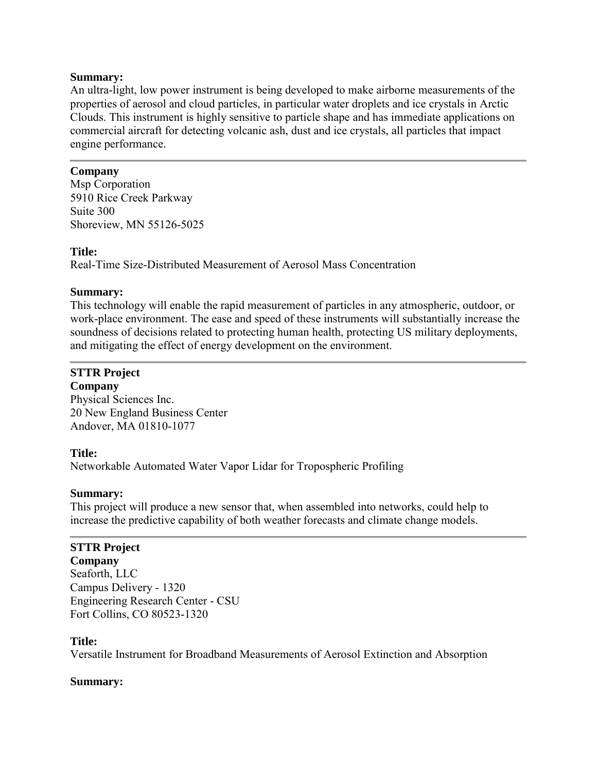An ultra-light, low power instrument is being developed to make airborne measurements of the properties of aerosol and cloud particles, in particular water droplets and ice crystals in Arctic Clouds. This instrument is highly sensitive to particle shape and has immediate applications on commercial aircraft for detecting volcanic ash, dust and ice crystals, all particles that impact engine performance.

## **Company**

Msp Corporation 5910 Rice Creek Parkway Suite 300 Shoreview, MN 55126-5025

## **Title:**

Real-Time Size-Distributed Measurement of Aerosol Mass Concentration

### **Summary:**

This technology will enable the rapid measurement of particles in any atmospheric, outdoor, or work-place environment. The ease and speed of these instruments will substantially increase the soundness of decisions related to protecting human health, protecting US military deployments, and mitigating the effect of energy development on the environment.

# **STTR Project**

**Company** Physical Sciences Inc. 20 New England Business Center Andover, MA 01810-1077

## **Title:**

Networkable Automated Water Vapor Lidar for Tropospheric Profiling

## **Summary:**

This project will produce a new sensor that, when assembled into networks, could help to increase the predictive capability of both weather forecasts and climate change models.

## **STTR Project**

**Company** Seaforth, LLC Campus Delivery - 1320 Engineering Research Center - CSU Fort Collins, CO 80523-1320

#### **Title:**

Versatile Instrument for Broadband Measurements of Aerosol Extinction and Absorption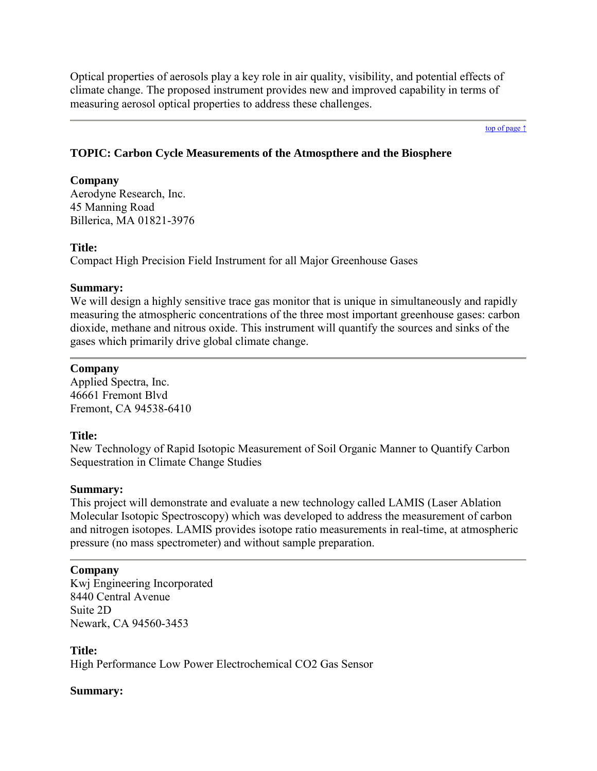Optical properties of aerosols play a key role in air quality, visibility, and potential effects of climate change. The proposed instrument provides new and improved capability in terms of measuring aerosol optical properties to address these challenges.

[top of page ↑](#page-0-0)

## <span id="page-11-0"></span>**TOPIC: Carbon Cycle Measurements of the Atmospthere and the Biosphere**

## **Company**

Aerodyne Research, Inc. 45 Manning Road Billerica, MA 01821-3976

## **Title:**

Compact High Precision Field Instrument for all Major Greenhouse Gases

## **Summary:**

We will design a highly sensitive trace gas monitor that is unique in simultaneously and rapidly measuring the atmospheric concentrations of the three most important greenhouse gases: carbon dioxide, methane and nitrous oxide. This instrument will quantify the sources and sinks of the gases which primarily drive global climate change.

## **Company**

Applied Spectra, Inc. 46661 Fremont Blvd Fremont, CA 94538-6410

## **Title:**

New Technology of Rapid Isotopic Measurement of Soil Organic Manner to Quantify Carbon Sequestration in Climate Change Studies

## **Summary:**

This project will demonstrate and evaluate a new technology called LAMIS (Laser Ablation Molecular Isotopic Spectroscopy) which was developed to address the measurement of carbon and nitrogen isotopes. LAMIS provides isotope ratio measurements in real-time, at atmospheric pressure (no mass spectrometer) and without sample preparation.

## **Company**

Kwj Engineering Incorporated 8440 Central Avenue Suite 2D Newark, CA 94560-3453

**Title:**

High Performance Low Power Electrochemical CO2 Gas Sensor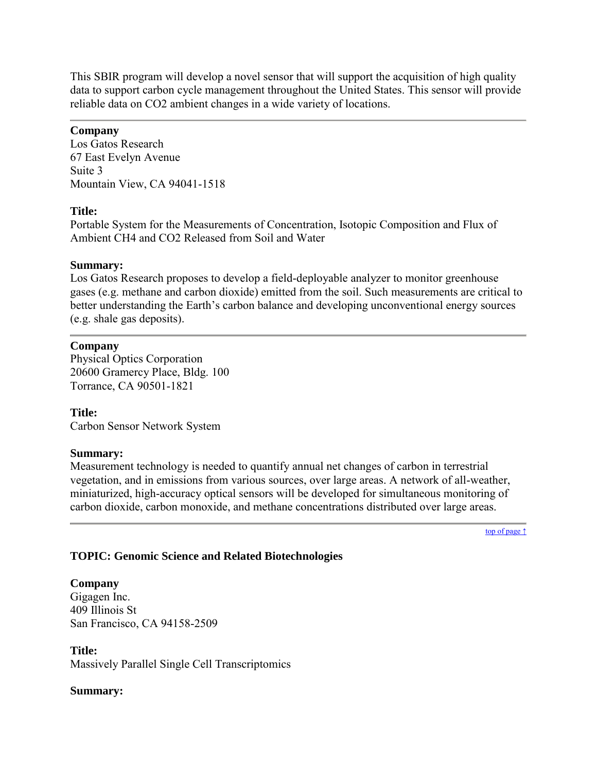This SBIR program will develop a novel sensor that will support the acquisition of high quality data to support carbon cycle management throughout the United States. This sensor will provide reliable data on CO2 ambient changes in a wide variety of locations.

## **Company**

Los Gatos Research 67 East Evelyn Avenue Suite 3 Mountain View, CA 94041-1518

## **Title:**

Portable System for the Measurements of Concentration, Isotopic Composition and Flux of Ambient CH4 and CO2 Released from Soil and Water

## **Summary:**

Los Gatos Research proposes to develop a field-deployable analyzer to monitor greenhouse gases (e.g. methane and carbon dioxide) emitted from the soil. Such measurements are critical to better understanding the Earth's carbon balance and developing unconventional energy sources (e.g. shale gas deposits).

## **Company**

Physical Optics Corporation 20600 Gramercy Place, Bldg. 100 Torrance, CA 90501-1821

## **Title:**

Carbon Sensor Network System

## **Summary:**

Measurement technology is needed to quantify annual net changes of carbon in terrestrial vegetation, and in emissions from various sources, over large areas. A network of all-weather, miniaturized, high-accuracy optical sensors will be developed for simultaneous monitoring of carbon dioxide, carbon monoxide, and methane concentrations distributed over large areas.

[top of page ↑](#page-0-0)

## <span id="page-12-0"></span>**TOPIC: Genomic Science and Related Biotechnologies**

## **Company**

Gigagen Inc. 409 Illinois St San Francisco, CA 94158-2509

**Title:** Massively Parallel Single Cell Transcriptomics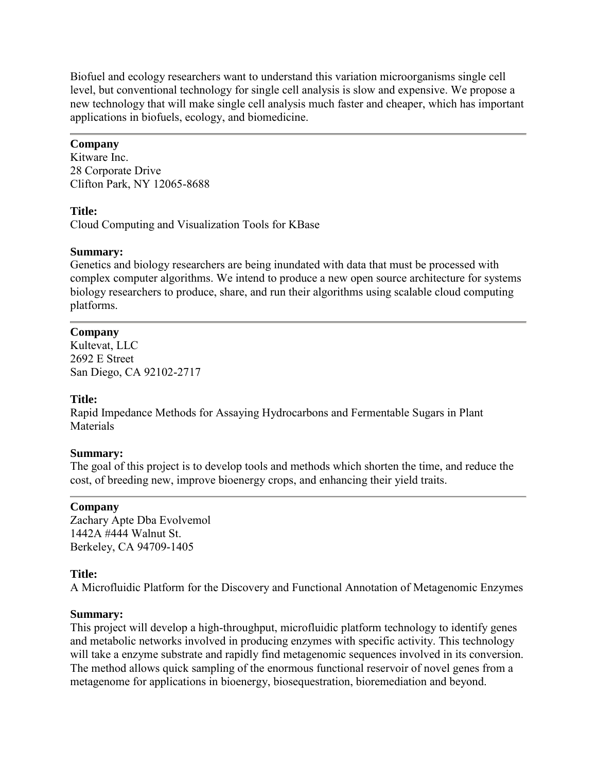Biofuel and ecology researchers want to understand this variation microorganisms single cell level, but conventional technology for single cell analysis is slow and expensive. We propose a new technology that will make single cell analysis much faster and cheaper, which has important applications in biofuels, ecology, and biomedicine.

## **Company**

Kitware Inc. 28 Corporate Drive Clifton Park, NY 12065-8688

## **Title:**

Cloud Computing and Visualization Tools for KBase

## **Summary:**

Genetics and biology researchers are being inundated with data that must be processed with complex computer algorithms. We intend to produce a new open source architecture for systems biology researchers to produce, share, and run their algorithms using scalable cloud computing platforms.

## **Company**

Kultevat, LLC 2692 E Street San Diego, CA 92102-2717

## **Title:**

Rapid Impedance Methods for Assaying Hydrocarbons and Fermentable Sugars in Plant **Materials** 

## **Summary:**

The goal of this project is to develop tools and methods which shorten the time, and reduce the cost, of breeding new, improve bioenergy crops, and enhancing their yield traits.

## **Company**

Zachary Apte Dba Evolvemol 1442A #444 Walnut St. Berkeley, CA 94709-1405

## **Title:**

A Microfluidic Platform for the Discovery and Functional Annotation of Metagenomic Enzymes

## **Summary:**

This project will develop a high-throughput, microfluidic platform technology to identify genes and metabolic networks involved in producing enzymes with specific activity. This technology will take a enzyme substrate and rapidly find metagenomic sequences involved in its conversion. The method allows quick sampling of the enormous functional reservoir of novel genes from a metagenome for applications in bioenergy, biosequestration, bioremediation and beyond.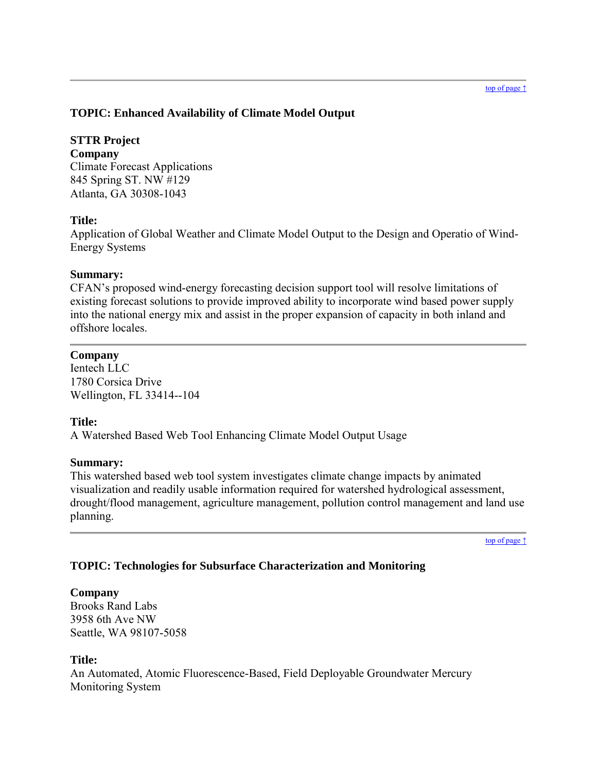## <span id="page-14-0"></span>**TOPIC: Enhanced Availability of Climate Model Output**

## **STTR Project**

**Company** Climate Forecast Applications 845 Spring ST. NW #129 Atlanta, GA 30308-1043

## **Title:**

Application of Global Weather and Climate Model Output to the Design and Operatio of Wind-Energy Systems

## **Summary:**

CFAN's proposed wind-energy forecasting decision support tool will resolve limitations of existing forecast solutions to provide improved ability to incorporate wind based power supply into the national energy mix and assist in the proper expansion of capacity in both inland and offshore locales.

## **Company**

Ientech LLC 1780 Corsica Drive Wellington, FL 33414--104

## **Title:**

A Watershed Based Web Tool Enhancing Climate Model Output Usage

## **Summary:**

This watershed based web tool system investigates climate change impacts by animated visualization and readily usable information required for watershed hydrological assessment, drought/flood management, agriculture management, pollution control management and land use planning.

[top of page ↑](#page-0-0)

## <span id="page-14-1"></span>**TOPIC: Technologies for Subsurface Characterization and Monitoring**

## **Company**

Brooks Rand Labs 3958 6th Ave NW Seattle, WA 98107-5058

## **Title:**

An Automated, Atomic Fluorescence-Based, Field Deployable Groundwater Mercury Monitoring System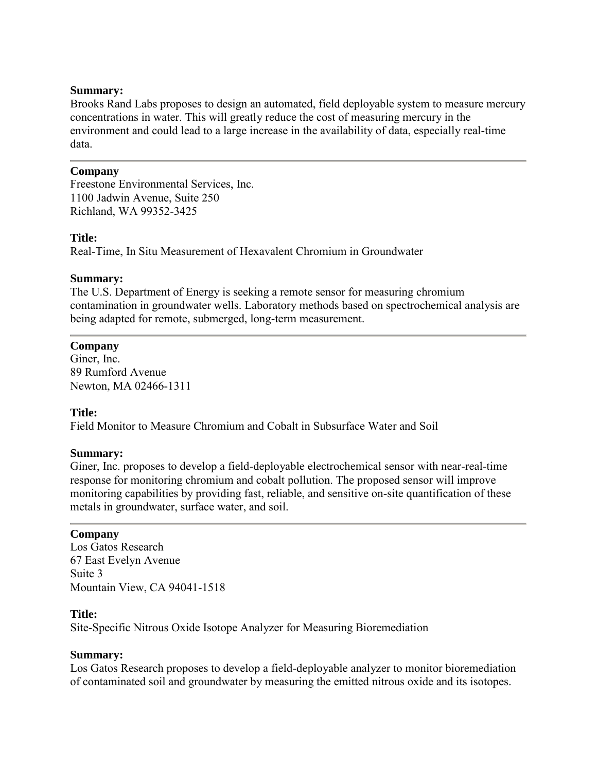Brooks Rand Labs proposes to design an automated, field deployable system to measure mercury concentrations in water. This will greatly reduce the cost of measuring mercury in the environment and could lead to a large increase in the availability of data, especially real-time data.

### **Company**

Freestone Environmental Services, Inc. 1100 Jadwin Avenue, Suite 250 Richland, WA 99352-3425

## **Title:**

Real-Time, In Situ Measurement of Hexavalent Chromium in Groundwater

### **Summary:**

The U.S. Department of Energy is seeking a remote sensor for measuring chromium contamination in groundwater wells. Laboratory methods based on spectrochemical analysis are being adapted for remote, submerged, long-term measurement.

## **Company**

Giner, Inc. 89 Rumford Avenue Newton, MA 02466-1311

## **Title:**

Field Monitor to Measure Chromium and Cobalt in Subsurface Water and Soil

#### **Summary:**

Giner, Inc. proposes to develop a field-deployable electrochemical sensor with near-real-time response for monitoring chromium and cobalt pollution. The proposed sensor will improve monitoring capabilities by providing fast, reliable, and sensitive on-site quantification of these metals in groundwater, surface water, and soil.

#### **Company**

Los Gatos Research 67 East Evelyn Avenue Suite 3 Mountain View, CA 94041-1518

#### **Title:**

Site-Specific Nitrous Oxide Isotope Analyzer for Measuring Bioremediation

#### **Summary:**

Los Gatos Research proposes to develop a field-deployable analyzer to monitor bioremediation of contaminated soil and groundwater by measuring the emitted nitrous oxide and its isotopes.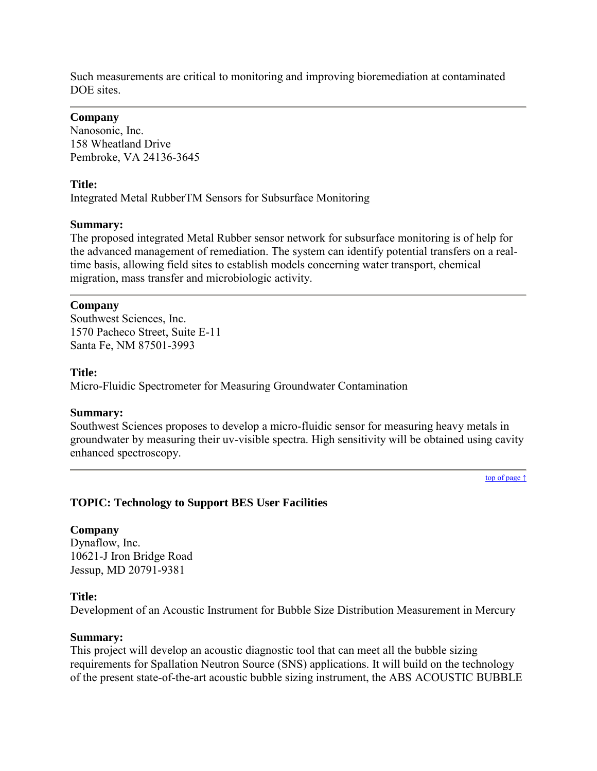Such measurements are critical to monitoring and improving bioremediation at contaminated DOE sites.

### **Company**

Nanosonic, Inc. 158 Wheatland Drive Pembroke, VA 24136-3645

### **Title:**

Integrated Metal RubberTM Sensors for Subsurface Monitoring

### **Summary:**

The proposed integrated Metal Rubber sensor network for subsurface monitoring is of help for the advanced management of remediation. The system can identify potential transfers on a realtime basis, allowing field sites to establish models concerning water transport, chemical migration, mass transfer and microbiologic activity.

### **Company**

Southwest Sciences, Inc. 1570 Pacheco Street, Suite E-11 Santa Fe, NM 87501-3993

### **Title:**

Micro-Fluidic Spectrometer for Measuring Groundwater Contamination

#### **Summary:**

Southwest Sciences proposes to develop a micro-fluidic sensor for measuring heavy metals in groundwater by measuring their uv-visible spectra. High sensitivity will be obtained using cavity enhanced spectroscopy.

[top of page ↑](#page-0-0)

## <span id="page-16-0"></span>**TOPIC: Technology to Support BES User Facilities**

## **Company**

Dynaflow, Inc. 10621-J Iron Bridge Road Jessup, MD 20791-9381

#### **Title:**

Development of an Acoustic Instrument for Bubble Size Distribution Measurement in Mercury

#### **Summary:**

This project will develop an acoustic diagnostic tool that can meet all the bubble sizing requirements for Spallation Neutron Source (SNS) applications. It will build on the technology of the present state-of-the-art acoustic bubble sizing instrument, the ABS ACOUSTIC BUBBLE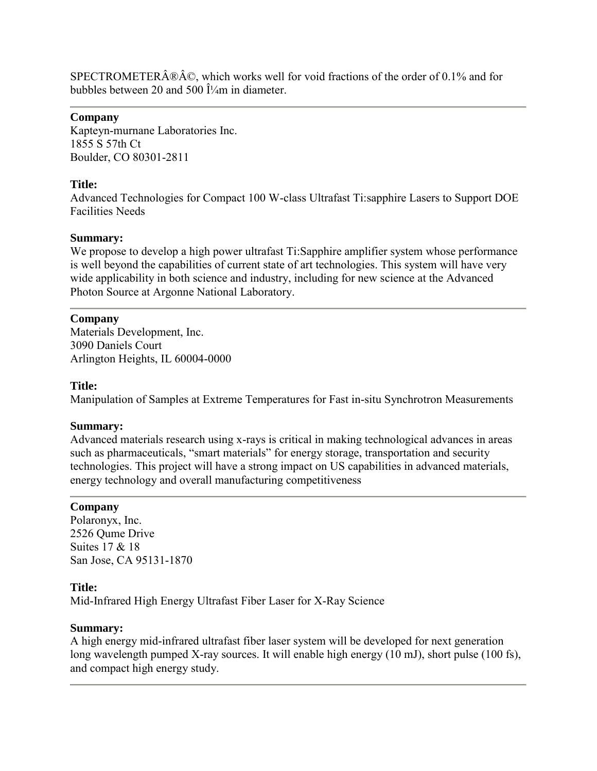SPECTROMETER®Â©, which works well for void fractions of the order of 0.1% and for bubbles between 20 and 500  $\hat{I}'_4$ m in diameter.

## **Company**

Kapteyn-murnane Laboratories Inc. 1855 S 57th Ct Boulder, CO 80301-2811

## **Title:**

Advanced Technologies for Compact 100 W-class Ultrafast Ti:sapphire Lasers to Support DOE Facilities Needs

## **Summary:**

We propose to develop a high power ultrafast Ti:Sapphire amplifier system whose performance is well beyond the capabilities of current state of art technologies. This system will have very wide applicability in both science and industry, including for new science at the Advanced Photon Source at Argonne National Laboratory.

## **Company**

Materials Development, Inc. 3090 Daniels Court Arlington Heights, IL 60004-0000

## **Title:**

Manipulation of Samples at Extreme Temperatures for Fast in-situ Synchrotron Measurements

## **Summary:**

Advanced materials research using x-rays is critical in making technological advances in areas such as pharmaceuticals, "smart materials" for energy storage, transportation and security technologies. This project will have a strong impact on US capabilities in advanced materials, energy technology and overall manufacturing competitiveness

## **Company**

Polaronyx, Inc. 2526 Qume Drive Suites 17 & 18 San Jose, CA 95131-1870

## **Title:**

Mid-Infrared High Energy Ultrafast Fiber Laser for X-Ray Science

## **Summary:**

A high energy mid-infrared ultrafast fiber laser system will be developed for next generation long wavelength pumped X-ray sources. It will enable high energy (10 mJ), short pulse (100 fs), and compact high energy study.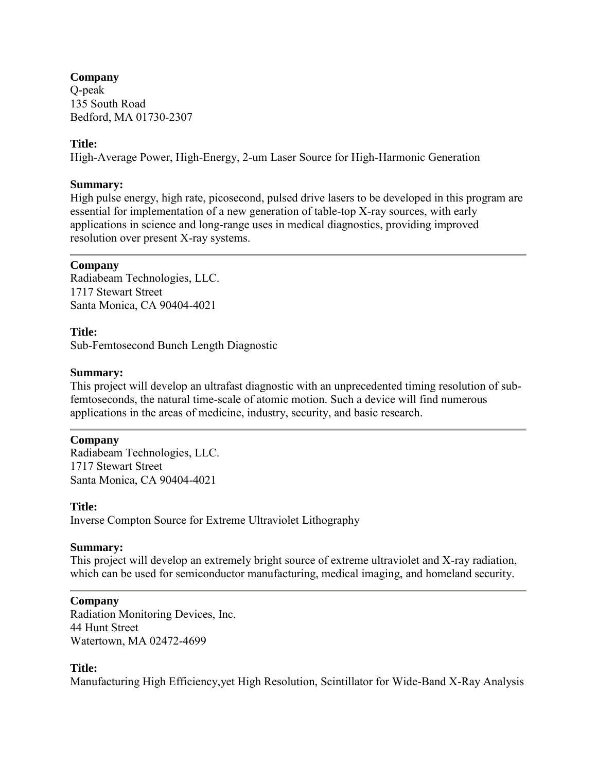## **Company**

Q-peak 135 South Road Bedford, MA 01730-2307

## **Title:**

High-Average Power, High-Energy, 2-um Laser Source for High-Harmonic Generation

## **Summary:**

High pulse energy, high rate, picosecond, pulsed drive lasers to be developed in this program are essential for implementation of a new generation of table-top X-ray sources, with early applications in science and long-range uses in medical diagnostics, providing improved resolution over present X-ray systems.

## **Company**

Radiabeam Technologies, LLC. 1717 Stewart Street Santa Monica, CA 90404-4021

## **Title:**

Sub-Femtosecond Bunch Length Diagnostic

## **Summary:**

This project will develop an ultrafast diagnostic with an unprecedented timing resolution of subfemtoseconds, the natural time-scale of atomic motion. Such a device will find numerous applications in the areas of medicine, industry, security, and basic research.

## **Company**

Radiabeam Technologies, LLC. 1717 Stewart Street Santa Monica, CA 90404-4021

## **Title:**

Inverse Compton Source for Extreme Ultraviolet Lithography

## **Summary:**

This project will develop an extremely bright source of extreme ultraviolet and X-ray radiation, which can be used for semiconductor manufacturing, medical imaging, and homeland security.

## **Company**

Radiation Monitoring Devices, Inc. 44 Hunt Street Watertown, MA 02472-4699

## **Title:**

Manufacturing High Efficiency,yet High Resolution, Scintillator for Wide-Band X-Ray Analysis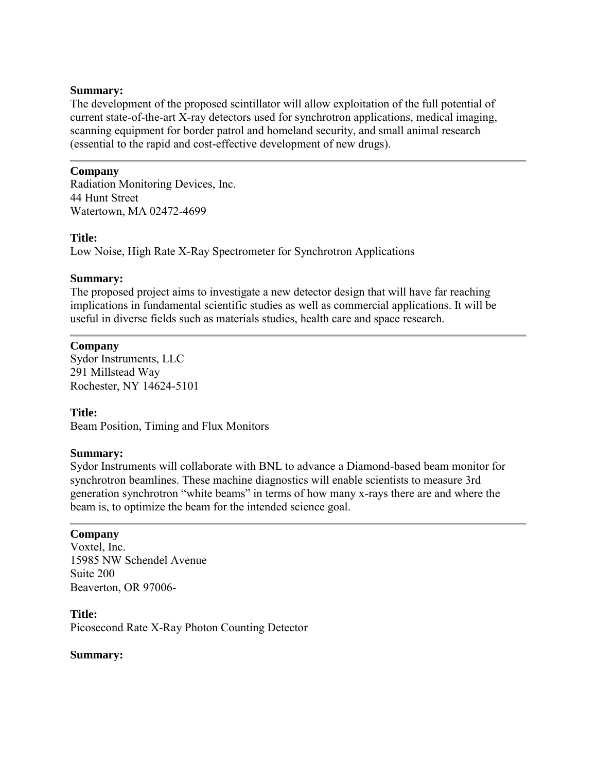The development of the proposed scintillator will allow exploitation of the full potential of current state-of-the-art X-ray detectors used for synchrotron applications, medical imaging, scanning equipment for border patrol and homeland security, and small animal research (essential to the rapid and cost-effective development of new drugs).

## **Company**

Radiation Monitoring Devices, Inc. 44 Hunt Street Watertown, MA 02472-4699

## **Title:**

Low Noise, High Rate X-Ray Spectrometer for Synchrotron Applications

### **Summary:**

The proposed project aims to investigate a new detector design that will have far reaching implications in fundamental scientific studies as well as commercial applications. It will be useful in diverse fields such as materials studies, health care and space research.

### **Company**

Sydor Instruments, LLC 291 Millstead Way Rochester, NY 14624-5101

## **Title:**

Beam Position, Timing and Flux Monitors

#### **Summary:**

Sydor Instruments will collaborate with BNL to advance a Diamond-based beam monitor for synchrotron beamlines. These machine diagnostics will enable scientists to measure 3rd generation synchrotron "white beams" in terms of how many x-rays there are and where the beam is, to optimize the beam for the intended science goal.

#### **Company**

Voxtel, Inc. 15985 NW Schendel Avenue Suite 200 Beaverton, OR 97006-

**Title:** Picosecond Rate X-Ray Photon Counting Detector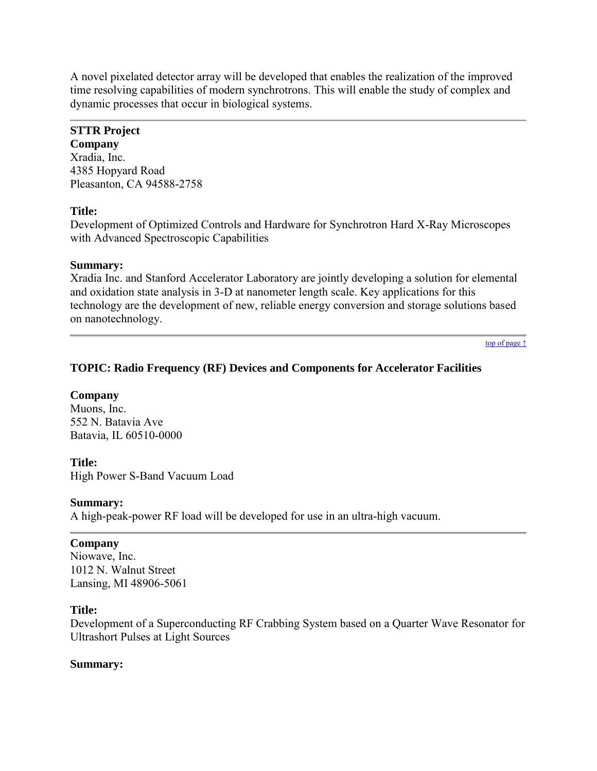A novel pixelated detector array will be developed that enables the realization of the improved time resolving capabilities of modern synchrotrons. This will enable the study of complex and dynamic processes that occur in biological systems.

## **STTR Project**

**Company** Xradia, Inc. 4385 Hopyard Road Pleasanton, CA 94588-2758

## **Title:**

Development of Optimized Controls and Hardware for Synchrotron Hard X-Ray Microscopes with Advanced Spectroscopic Capabilities

## **Summary:**

Xradia Inc. and Stanford Accelerator Laboratory are jointly developing a solution for elemental and oxidation state analysis in 3-D at nanometer length scale. Key applications for this technology are the development of new, reliable energy conversion and storage solutions based on nanotechnology.

[top of page ↑](#page-0-0)

## <span id="page-20-0"></span>**TOPIC: Radio Frequency (RF) Devices and Components for Accelerator Facilities**

## **Company**

Muons, Inc. 552 N. Batavia Ave Batavia, IL 60510-0000

## **Title:**

High Power S-Band Vacuum Load

## **Summary:**

A high-peak-power RF load will be developed for use in an ultra-high vacuum.

## **Company**

Niowave, Inc. 1012 N. Walnut Street Lansing, MI 48906-5061

## **Title:**

Development of a Superconducting RF Crabbing System based on a Quarter Wave Resonator for Ultrashort Pulses at Light Sources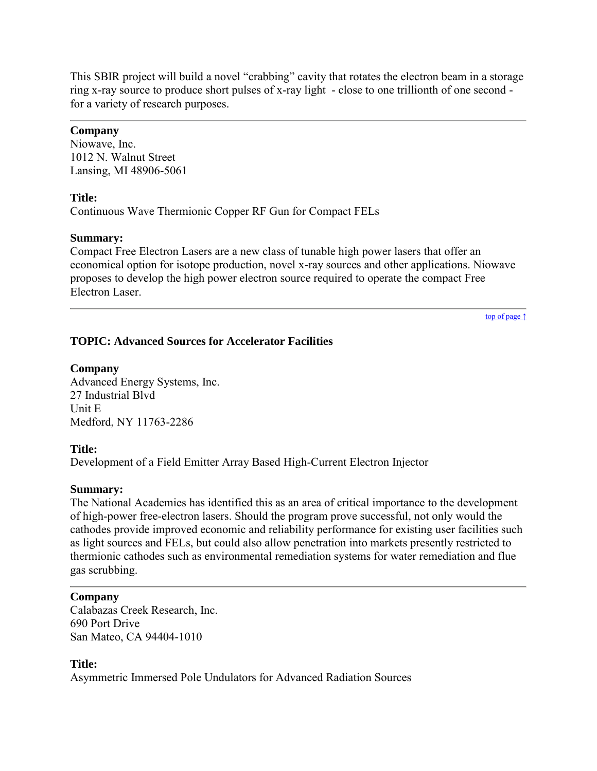This SBIR project will build a novel "crabbing" cavity that rotates the electron beam in a storage ring x-ray source to produce short pulses of x-ray light - close to one trillionth of one second for a variety of research purposes.

## **Company**

Niowave, Inc. 1012 N. Walnut Street Lansing, MI 48906-5061

### **Title:**

Continuous Wave Thermionic Copper RF Gun for Compact FELs

### **Summary:**

Compact Free Electron Lasers are a new class of tunable high power lasers that offer an economical option for isotope production, novel x-ray sources and other applications. Niowave proposes to develop the high power electron source required to operate the compact Free Electron Laser.

[top of page ↑](#page-0-0)

## <span id="page-21-0"></span>**TOPIC: Advanced Sources for Accelerator Facilities**

### **Company**

Advanced Energy Systems, Inc. 27 Industrial Blvd Unit E Medford, NY 11763-2286

## **Title:**

Development of a Field Emitter Array Based High-Current Electron Injector

#### **Summary:**

The National Academies has identified this as an area of critical importance to the development of high-power free-electron lasers. Should the program prove successful, not only would the cathodes provide improved economic and reliability performance for existing user facilities such as light sources and FELs, but could also allow penetration into markets presently restricted to thermionic cathodes such as environmental remediation systems for water remediation and flue gas scrubbing.

#### **Company**

Calabazas Creek Research, Inc. 690 Port Drive San Mateo, CA 94404-1010

#### **Title:**

Asymmetric Immersed Pole Undulators for Advanced Radiation Sources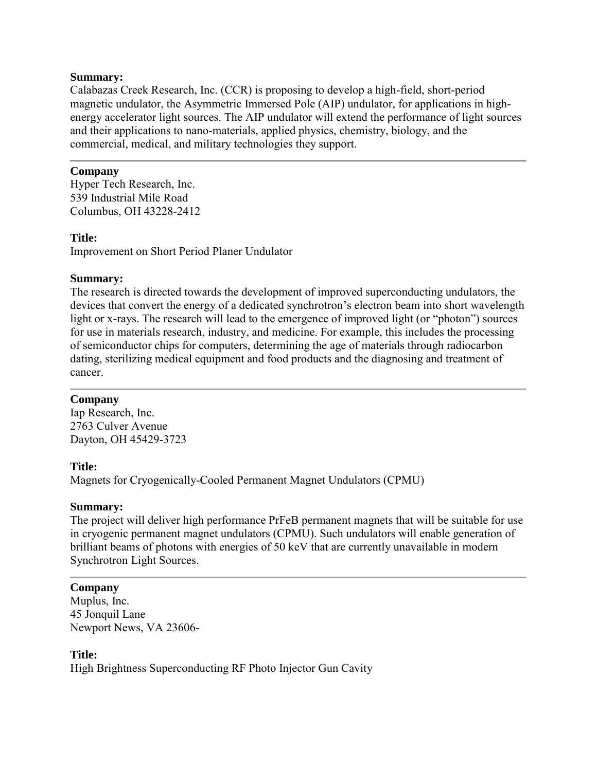Calabazas Creek Research, Inc. (CCR) is proposing to develop a high-field, short-period magnetic undulator, the Asymmetric Immersed Pole (AIP) undulator, for applications in highenergy accelerator light sources. The AIP undulator will extend the performance of light sources and their applications to nano-materials, applied physics, chemistry, biology, and the commercial, medical, and military technologies they support.

## **Company**

Hyper Tech Research, Inc. 539 Industrial Mile Road Columbus, OH 43228-2412

## **Title:**

Improvement on Short Period Planer Undulator

## **Summary:**

The research is directed towards the development of improved superconducting undulators, the devices that convert the energy of a dedicated synchrotron's electron beam into short wavelength light or x-rays. The research will lead to the emergence of improved light (or "photon") sources for use in materials research, industry, and medicine. For example, this includes the processing of semiconductor chips for computers, determining the age of materials through radiocarbon dating, sterilizing medical equipment and food products and the diagnosing and treatment of cancer.

## **Company**

Iap Research, Inc. 2763 Culver Avenue Dayton, OH 45429-3723

## **Title:**

Magnets for Cryogenically-Cooled Permanent Magnet Undulators (CPMU)

## **Summary:**

The project will deliver high performance PrFeB permanent magnets that will be suitable for use in cryogenic permanent magnet undulators (CPMU). Such undulators will enable generation of brilliant beams of photons with energies of 50 keV that are currently unavailable in modern Synchrotron Light Sources.

## **Company**

Muplus, Inc. 45 Jonquil Lane Newport News, VA 23606-

## **Title:**

High Brightness Superconducting RF Photo Injector Gun Cavity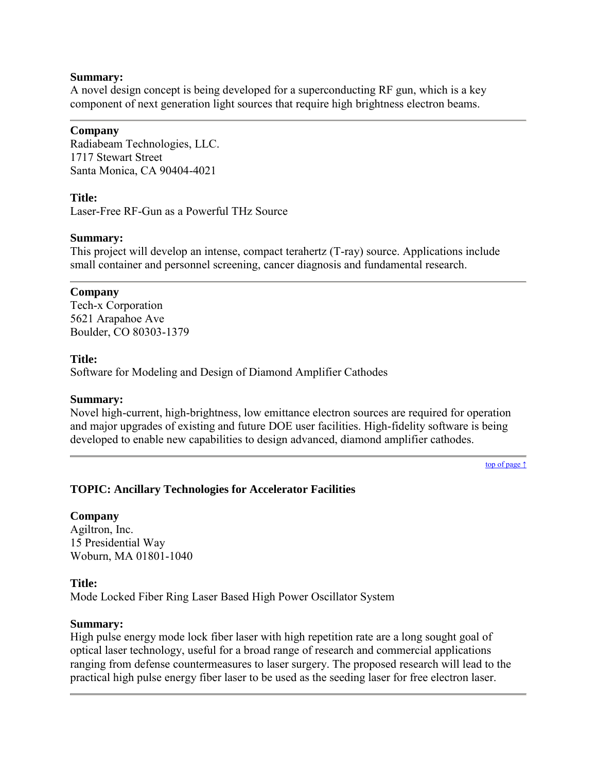A novel design concept is being developed for a superconducting RF gun, which is a key component of next generation light sources that require high brightness electron beams.

#### **Company**

Radiabeam Technologies, LLC. 1717 Stewart Street Santa Monica, CA 90404-4021

### **Title:**

Laser-Free RF-Gun as a Powerful THz Source

### **Summary:**

This project will develop an intense, compact terahertz (T-ray) source. Applications include small container and personnel screening, cancer diagnosis and fundamental research.

### **Company**

Tech-x Corporation 5621 Arapahoe Ave Boulder, CO 80303-1379

### **Title:**

Software for Modeling and Design of Diamond Amplifier Cathodes

#### **Summary:**

Novel high-current, high-brightness, low emittance electron sources are required for operation and major upgrades of existing and future DOE user facilities. High-fidelity software is being developed to enable new capabilities to design advanced, diamond amplifier cathodes.

[top of page ↑](#page-0-0)

## <span id="page-23-0"></span>**TOPIC: Ancillary Technologies for Accelerator Facilities**

## **Company**

Agiltron, Inc. 15 Presidential Way Woburn, MA 01801-1040

## **Title:**

Mode Locked Fiber Ring Laser Based High Power Oscillator System

#### **Summary:**

High pulse energy mode lock fiber laser with high repetition rate are a long sought goal of optical laser technology, useful for a broad range of research and commercial applications ranging from defense countermeasures to laser surgery. The proposed research will lead to the practical high pulse energy fiber laser to be used as the seeding laser for free electron laser.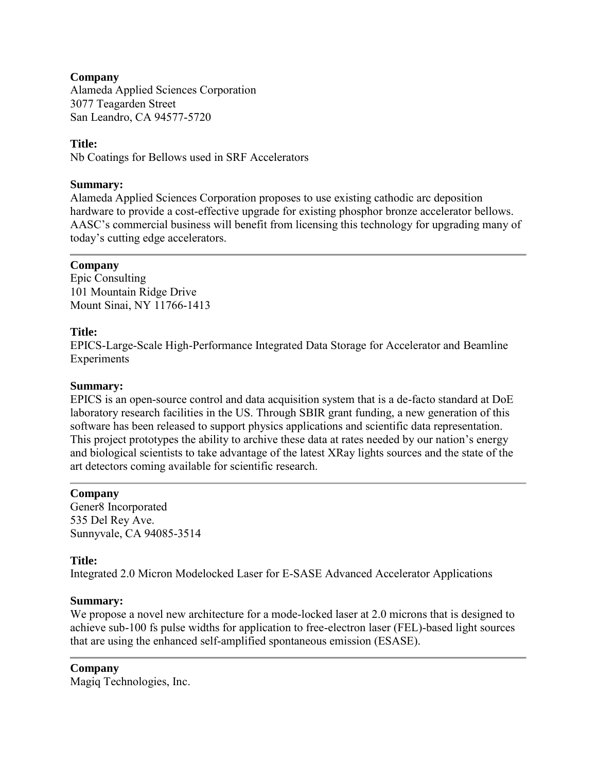## **Company**

Alameda Applied Sciences Corporation 3077 Teagarden Street San Leandro, CA 94577-5720

## **Title:**

Nb Coatings for Bellows used in SRF Accelerators

## **Summary:**

Alameda Applied Sciences Corporation proposes to use existing cathodic arc deposition hardware to provide a cost-effective upgrade for existing phosphor bronze accelerator bellows. AASC's commercial business will benefit from licensing this technology for upgrading many of today's cutting edge accelerators.

## **Company**

Epic Consulting 101 Mountain Ridge Drive Mount Sinai, NY 11766-1413

## **Title:**

EPICS-Large-Scale High-Performance Integrated Data Storage for Accelerator and Beamline Experiments

## **Summary:**

EPICS is an open-source control and data acquisition system that is a de-facto standard at DoE laboratory research facilities in the US. Through SBIR grant funding, a new generation of this software has been released to support physics applications and scientific data representation. This project prototypes the ability to archive these data at rates needed by our nation's energy and biological scientists to take advantage of the latest XRay lights sources and the state of the art detectors coming available for scientific research.

## **Company**

Gener8 Incorporated 535 Del Rey Ave. Sunnyvale, CA 94085-3514

## **Title:**

Integrated 2.0 Micron Modelocked Laser for E-SASE Advanced Accelerator Applications

## **Summary:**

We propose a novel new architecture for a mode-locked laser at 2.0 microns that is designed to achieve sub-100 fs pulse widths for application to free-electron laser (FEL)-based light sources that are using the enhanced self-amplified spontaneous emission (ESASE).

## **Company**

Magiq Technologies, Inc.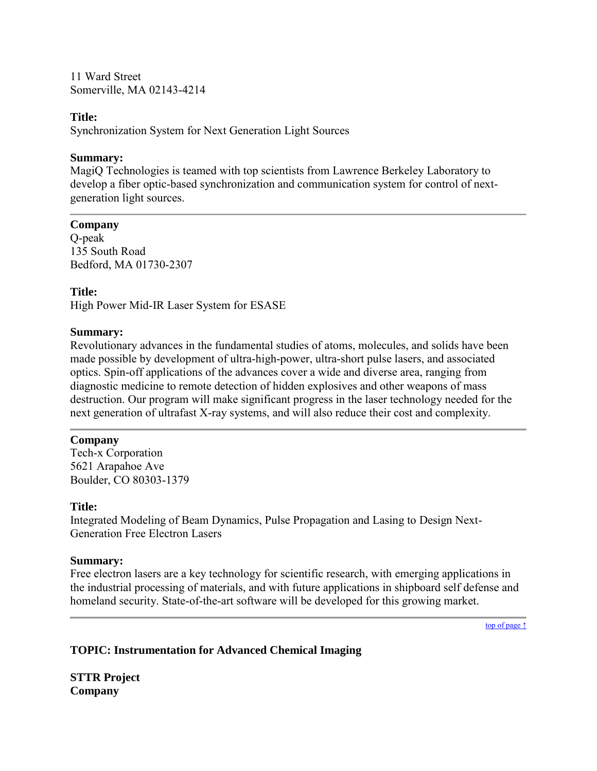11 Ward Street Somerville, MA 02143-4214

## **Title:**

Synchronization System for Next Generation Light Sources

## **Summary:**

MagiQ Technologies is teamed with top scientists from Lawrence Berkeley Laboratory to develop a fiber optic-based synchronization and communication system for control of nextgeneration light sources.

## **Company**

Q-peak 135 South Road Bedford, MA 01730-2307

## **Title:**

High Power Mid-IR Laser System for ESASE

## **Summary:**

Revolutionary advances in the fundamental studies of atoms, molecules, and solids have been made possible by development of ultra-high-power, ultra-short pulse lasers, and associated optics. Spin-off applications of the advances cover a wide and diverse area, ranging from diagnostic medicine to remote detection of hidden explosives and other weapons of mass destruction. Our program will make significant progress in the laser technology needed for the next generation of ultrafast X-ray systems, and will also reduce their cost and complexity.

## **Company**

Tech-x Corporation 5621 Arapahoe Ave Boulder, CO 80303-1379

## **Title:**

Integrated Modeling of Beam Dynamics, Pulse Propagation and Lasing to Design Next-Generation Free Electron Lasers

## **Summary:**

Free electron lasers are a key technology for scientific research, with emerging applications in the industrial processing of materials, and with future applications in shipboard self defense and homeland security. State-of-the-art software will be developed for this growing market.

[top of page ↑](#page-0-0)

## <span id="page-25-0"></span>**TOPIC: Instrumentation for Advanced Chemical Imaging**

**STTR Project Company**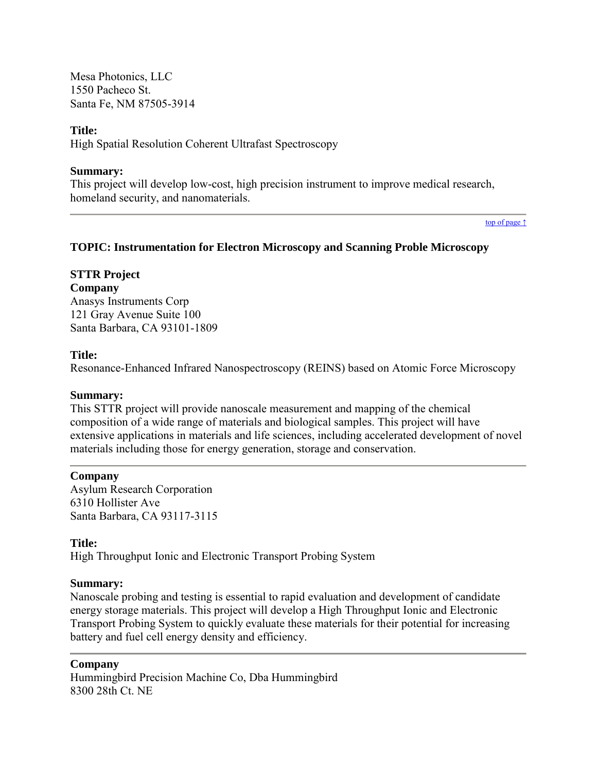Mesa Photonics, LLC 1550 Pacheco St. Santa Fe, NM 87505-3914

### **Title:**

High Spatial Resolution Coherent Ultrafast Spectroscopy

#### **Summary:**

This project will develop low-cost, high precision instrument to improve medical research, homeland security, and nanomaterials.

[top of page ↑](#page-0-0)

### <span id="page-26-0"></span>**TOPIC: Instrumentation for Electron Microscopy and Scanning Proble Microscopy**

## **STTR Project**

**Company**

Anasys Instruments Corp 121 Gray Avenue Suite 100 Santa Barbara, CA 93101-1809

## **Title:**

Resonance-Enhanced Infrared Nanospectroscopy (REINS) based on Atomic Force Microscopy

#### **Summary:**

This STTR project will provide nanoscale measurement and mapping of the chemical composition of a wide range of materials and biological samples. This project will have extensive applications in materials and life sciences, including accelerated development of novel materials including those for energy generation, storage and conservation.

#### **Company**

Asylum Research Corporation 6310 Hollister Ave Santa Barbara, CA 93117-3115

## **Title:**

High Throughput Ionic and Electronic Transport Probing System

#### **Summary:**

Nanoscale probing and testing is essential to rapid evaluation and development of candidate energy storage materials. This project will develop a High Throughput Ionic and Electronic Transport Probing System to quickly evaluate these materials for their potential for increasing battery and fuel cell energy density and efficiency.

#### **Company**

Hummingbird Precision Machine Co, Dba Hummingbird 8300 28th Ct. NE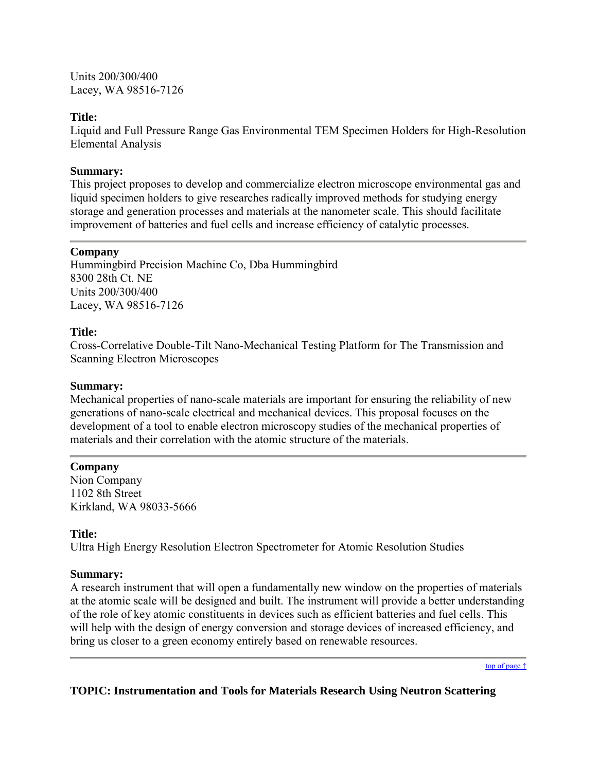Units 200/300/400 Lacey, WA 98516-7126

## **Title:**

Liquid and Full Pressure Range Gas Environmental TEM Specimen Holders for High-Resolution Elemental Analysis

## **Summary:**

This project proposes to develop and commercialize electron microscope environmental gas and liquid specimen holders to give researches radically improved methods for studying energy storage and generation processes and materials at the nanometer scale. This should facilitate improvement of batteries and fuel cells and increase efficiency of catalytic processes.

## **Company**

Hummingbird Precision Machine Co, Dba Hummingbird 8300 28th Ct. NE Units 200/300/400 Lacey, WA 98516-7126

## **Title:**

Cross-Correlative Double-Tilt Nano-Mechanical Testing Platform for The Transmission and Scanning Electron Microscopes

## **Summary:**

Mechanical properties of nano-scale materials are important for ensuring the reliability of new generations of nano-scale electrical and mechanical devices. This proposal focuses on the development of a tool to enable electron microscopy studies of the mechanical properties of materials and their correlation with the atomic structure of the materials.

## **Company**

Nion Company 1102 8th Street Kirkland, WA 98033-5666

## **Title:**

Ultra High Energy Resolution Electron Spectrometer for Atomic Resolution Studies

## **Summary:**

A research instrument that will open a fundamentally new window on the properties of materials at the atomic scale will be designed and built. The instrument will provide a better understanding of the role of key atomic constituents in devices such as efficient batteries and fuel cells. This will help with the design of energy conversion and storage devices of increased efficiency, and bring us closer to a green economy entirely based on renewable resources.

[top of page ↑](#page-0-0)

## <span id="page-27-0"></span>**TOPIC: Instrumentation and Tools for Materials Research Using Neutron Scattering**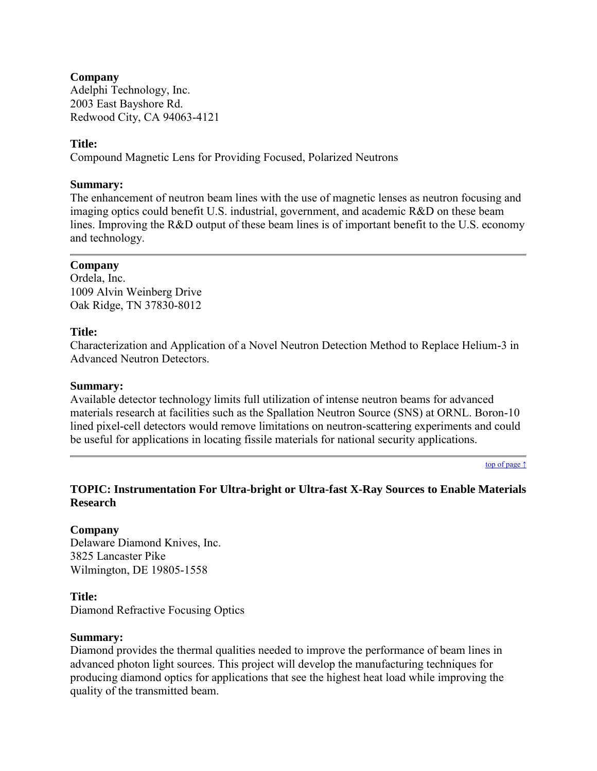## **Company**

Adelphi Technology, Inc. 2003 East Bayshore Rd. Redwood City, CA 94063-4121

## **Title:**

Compound Magnetic Lens for Providing Focused, Polarized Neutrons

## **Summary:**

The enhancement of neutron beam lines with the use of magnetic lenses as neutron focusing and imaging optics could benefit U.S. industrial, government, and academic R&D on these beam lines. Improving the R&D output of these beam lines is of important benefit to the U.S. economy and technology.

## **Company**

Ordela, Inc. 1009 Alvin Weinberg Drive Oak Ridge, TN 37830-8012

## **Title:**

Characterization and Application of a Novel Neutron Detection Method to Replace Helium-3 in Advanced Neutron Detectors.

### **Summary:**

Available detector technology limits full utilization of intense neutron beams for advanced materials research at facilities such as the Spallation Neutron Source (SNS) at ORNL. Boron-10 lined pixel-cell detectors would remove limitations on neutron-scattering experiments and could be useful for applications in locating fissile materials for national security applications.

[top of page ↑](#page-0-0)

## <span id="page-28-0"></span>**TOPIC: Instrumentation For Ultra-bright or Ultra-fast X-Ray Sources to Enable Materials Research**

## **Company**

Delaware Diamond Knives, Inc. 3825 Lancaster Pike Wilmington, DE 19805-1558

## **Title:**

Diamond Refractive Focusing Optics

#### **Summary:**

Diamond provides the thermal qualities needed to improve the performance of beam lines in advanced photon light sources. This project will develop the manufacturing techniques for producing diamond optics for applications that see the highest heat load while improving the quality of the transmitted beam.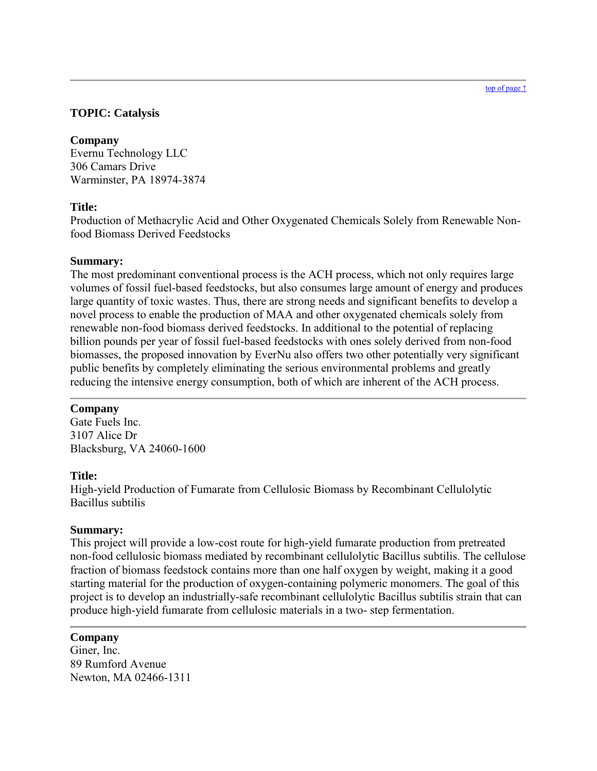#### [top of page ↑](#page-0-0)

## <span id="page-29-0"></span>**TOPIC: Catalysis**

## **Company**

Evernu Technology LLC 306 Camars Drive Warminster, PA 18974-3874

## **Title:**

Production of Methacrylic Acid and Other Oxygenated Chemicals Solely from Renewable Nonfood Biomass Derived Feedstocks

## **Summary:**

The most predominant conventional process is the ACH process, which not only requires large volumes of fossil fuel-based feedstocks, but also consumes large amount of energy and produces large quantity of toxic wastes. Thus, there are strong needs and significant benefits to develop a novel process to enable the production of MAA and other oxygenated chemicals solely from renewable non-food biomass derived feedstocks. In additional to the potential of replacing billion pounds per year of fossil fuel-based feedstocks with ones solely derived from non-food biomasses, the proposed innovation by EverNu also offers two other potentially very significant public benefits by completely eliminating the serious environmental problems and greatly reducing the intensive energy consumption, both of which are inherent of the ACH process.

## **Company**

Gate Fuels Inc. 3107 Alice Dr Blacksburg, VA 24060-1600

## **Title:**

High-yield Production of Fumarate from Cellulosic Biomass by Recombinant Cellulolytic Bacillus subtilis

## **Summary:**

This project will provide a low-cost route for high-yield fumarate production from pretreated non-food cellulosic biomass mediated by recombinant cellulolytic Bacillus subtilis. The cellulose fraction of biomass feedstock contains more than one half oxygen by weight, making it a good starting material for the production of oxygen-containing polymeric monomers. The goal of this project is to develop an industrially-safe recombinant cellulolytic Bacillus subtilis strain that can produce high-yield fumarate from cellulosic materials in a two- step fermentation.

## **Company**

Giner, Inc. 89 Rumford Avenue Newton, MA 02466-1311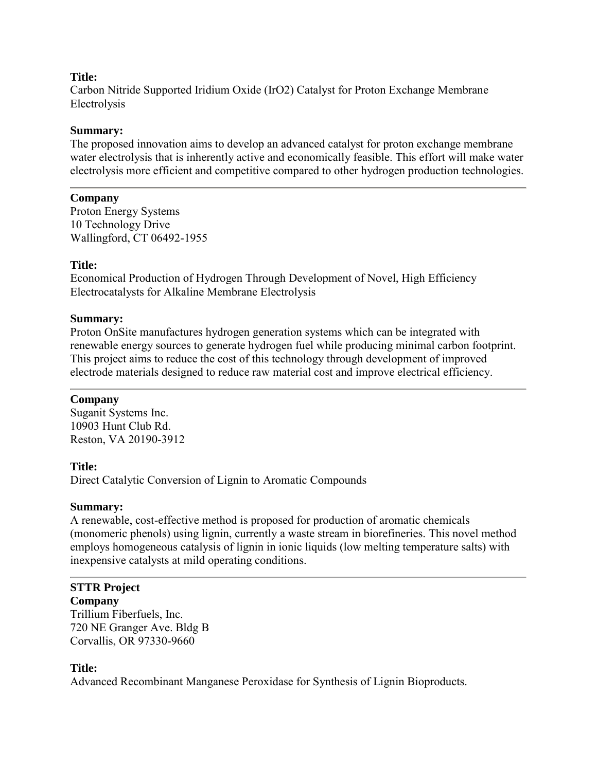### **Title:**

Carbon Nitride Supported Iridium Oxide (IrO2) Catalyst for Proton Exchange Membrane Electrolysis

### **Summary:**

The proposed innovation aims to develop an advanced catalyst for proton exchange membrane water electrolysis that is inherently active and economically feasible. This effort will make water electrolysis more efficient and competitive compared to other hydrogen production technologies.

### **Company**

Proton Energy Systems 10 Technology Drive Wallingford, CT 06492-1955

## **Title:**

Economical Production of Hydrogen Through Development of Novel, High Efficiency Electrocatalysts for Alkaline Membrane Electrolysis

### **Summary:**

Proton OnSite manufactures hydrogen generation systems which can be integrated with renewable energy sources to generate hydrogen fuel while producing minimal carbon footprint. This project aims to reduce the cost of this technology through development of improved electrode materials designed to reduce raw material cost and improve electrical efficiency.

## **Company**

Suganit Systems Inc. 10903 Hunt Club Rd. Reston, VA 20190-3912

#### **Title:**

Direct Catalytic Conversion of Lignin to Aromatic Compounds

#### **Summary:**

A renewable, cost-effective method is proposed for production of aromatic chemicals (monomeric phenols) using lignin, currently a waste stream in biorefineries. This novel method employs homogeneous catalysis of lignin in ionic liquids (low melting temperature salts) with inexpensive catalysts at mild operating conditions.

## **STTR Project**

**Company** Trillium Fiberfuels, Inc. 720 NE Granger Ave. Bldg B Corvallis, OR 97330-9660

## **Title:**

Advanced Recombinant Manganese Peroxidase for Synthesis of Lignin Bioproducts.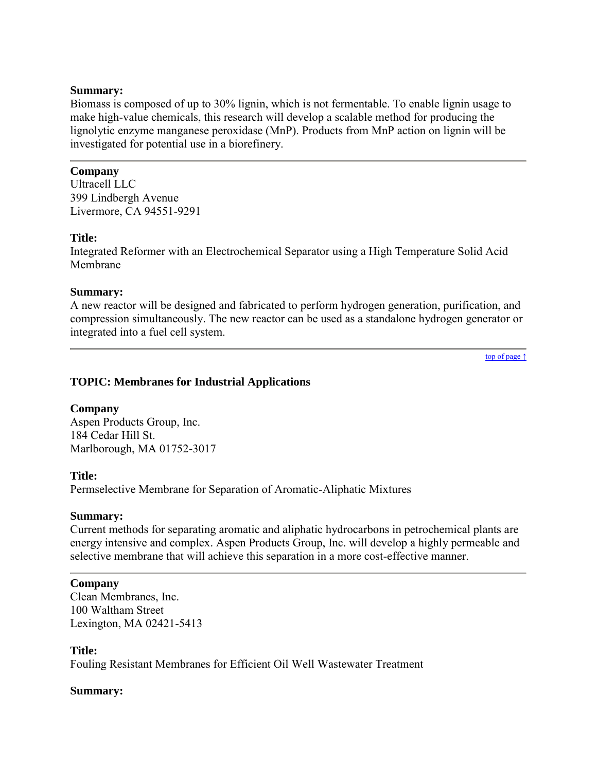Biomass is composed of up to 30% lignin, which is not fermentable. To enable lignin usage to make high-value chemicals, this research will develop a scalable method for producing the lignolytic enzyme manganese peroxidase (MnP). Products from MnP action on lignin will be investigated for potential use in a biorefinery.

## **Company**

Ultracell LLC 399 Lindbergh Avenue Livermore, CA 94551-9291

## **Title:**

Integrated Reformer with an Electrochemical Separator using a High Temperature Solid Acid Membrane

## **Summary:**

A new reactor will be designed and fabricated to perform hydrogen generation, purification, and compression simultaneously. The new reactor can be used as a standalone hydrogen generator or integrated into a fuel cell system.

[top of page ↑](#page-0-0)

## <span id="page-31-0"></span>**TOPIC: Membranes for Industrial Applications**

## **Company**

Aspen Products Group, Inc. 184 Cedar Hill St. Marlborough, MA 01752-3017

## **Title:**

Permselective Membrane for Separation of Aromatic-Aliphatic Mixtures

## **Summary:**

Current methods for separating aromatic and aliphatic hydrocarbons in petrochemical plants are energy intensive and complex. Aspen Products Group, Inc. will develop a highly permeable and selective membrane that will achieve this separation in a more cost-effective manner.

## **Company**

Clean Membranes, Inc. 100 Waltham Street Lexington, MA 02421-5413

## **Title:**

Fouling Resistant Membranes for Efficient Oil Well Wastewater Treatment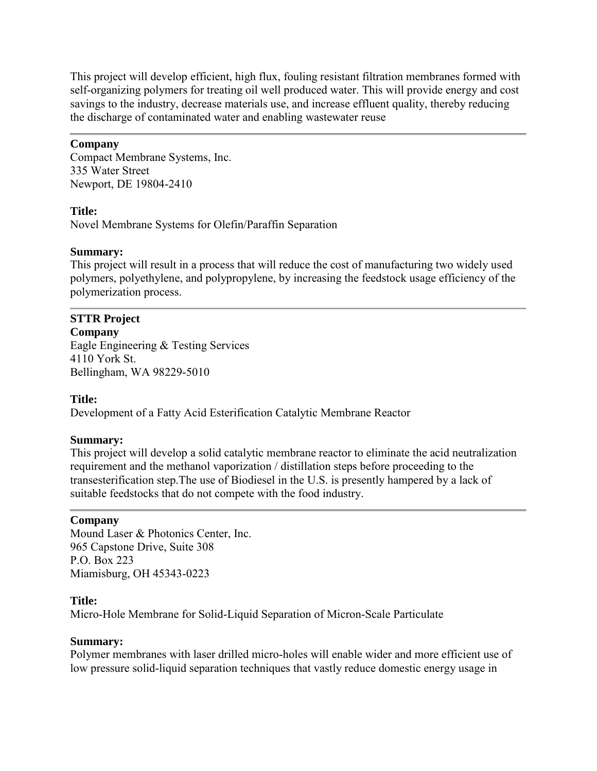This project will develop efficient, high flux, fouling resistant filtration membranes formed with self-organizing polymers for treating oil well produced water. This will provide energy and cost savings to the industry, decrease materials use, and increase effluent quality, thereby reducing the discharge of contaminated water and enabling wastewater reuse

## **Company**

Compact Membrane Systems, Inc. 335 Water Street Newport, DE 19804-2410

### **Title:**

Novel Membrane Systems for Olefin/Paraffin Separation

### **Summary:**

This project will result in a process that will reduce the cost of manufacturing two widely used polymers, polyethylene, and polypropylene, by increasing the feedstock usage efficiency of the polymerization process.

## **STTR Project**

**Company** Eagle Engineering & Testing Services 4110 York St. Bellingham, WA 98229-5010

## **Title:**

Development of a Fatty Acid Esterification Catalytic Membrane Reactor

## **Summary:**

This project will develop a solid catalytic membrane reactor to eliminate the acid neutralization requirement and the methanol vaporization / distillation steps before proceeding to the transesterification step.The use of Biodiesel in the U.S. is presently hampered by a lack of suitable feedstocks that do not compete with the food industry.

## **Company**

Mound Laser & Photonics Center, Inc. 965 Capstone Drive, Suite 308 P.O. Box 223 Miamisburg, OH 45343-0223

### **Title:**

Micro-Hole Membrane for Solid-Liquid Separation of Micron-Scale Particulate

#### **Summary:**

Polymer membranes with laser drilled micro-holes will enable wider and more efficient use of low pressure solid-liquid separation techniques that vastly reduce domestic energy usage in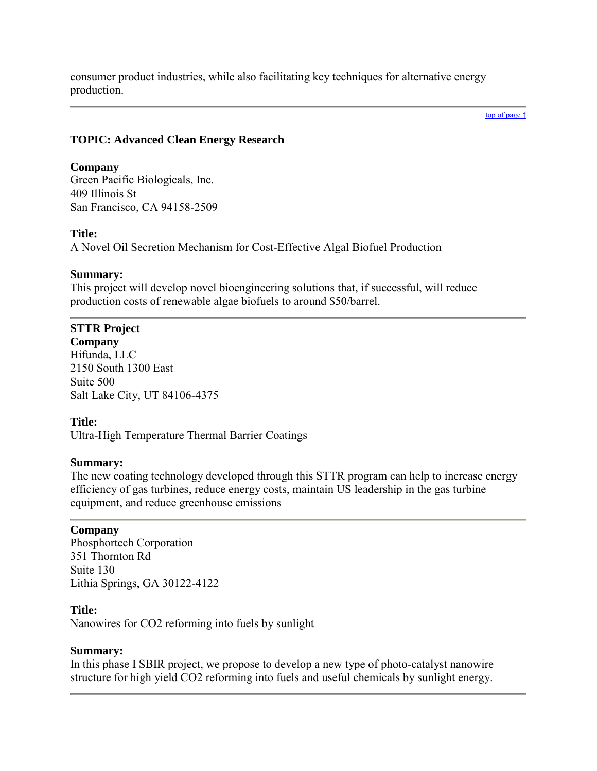consumer product industries, while also facilitating key techniques for alternative energy production.

#### [top of page ↑](#page-0-0)

## <span id="page-33-0"></span>**TOPIC: Advanced Clean Energy Research**

## **Company**

Green Pacific Biologicals, Inc. 409 Illinois St San Francisco, CA 94158-2509

## **Title:**

A Novel Oil Secretion Mechanism for Cost-Effective Algal Biofuel Production

## **Summary:**

This project will develop novel bioengineering solutions that, if successful, will reduce production costs of renewable algae biofuels to around \$50/barrel.

# **STTR Project**

**Company** Hifunda, LLC 2150 South 1300 East Suite 500 Salt Lake City, UT 84106-4375

## **Title:**

Ultra-High Temperature Thermal Barrier Coatings

## **Summary:**

The new coating technology developed through this STTR program can help to increase energy efficiency of gas turbines, reduce energy costs, maintain US leadership in the gas turbine equipment, and reduce greenhouse emissions

## **Company**

Phosphortech Corporation 351 Thornton Rd Suite 130 Lithia Springs, GA 30122-4122

## **Title:**

Nanowires for CO2 reforming into fuels by sunlight

## **Summary:**

In this phase I SBIR project, we propose to develop a new type of photo-catalyst nanowire structure for high yield CO2 reforming into fuels and useful chemicals by sunlight energy.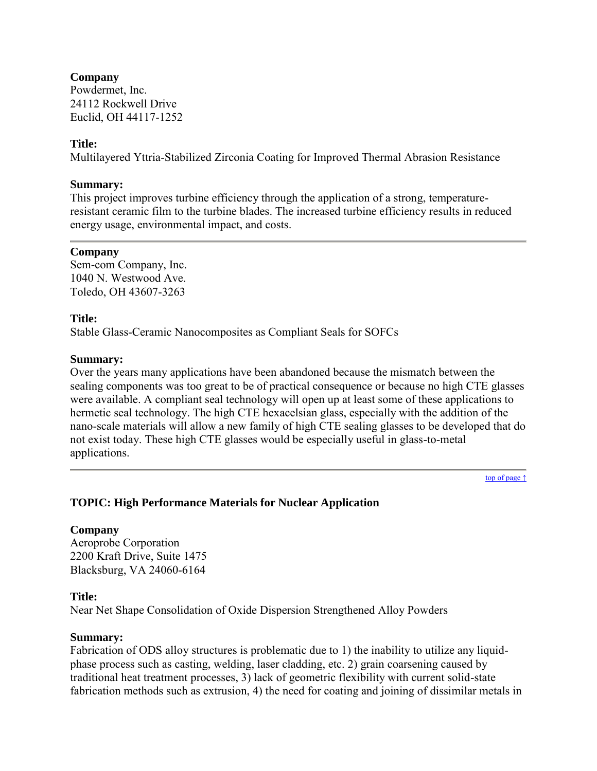## **Company**

Powdermet, Inc. 24112 Rockwell Drive Euclid, OH 44117-1252

## **Title:**

Multilayered Yttria-Stabilized Zirconia Coating for Improved Thermal Abrasion Resistance

## **Summary:**

This project improves turbine efficiency through the application of a strong, temperatureresistant ceramic film to the turbine blades. The increased turbine efficiency results in reduced energy usage, environmental impact, and costs.

### **Company**

Sem-com Company, Inc. 1040 N. Westwood Ave. Toledo, OH 43607-3263

## **Title:**

Stable Glass-Ceramic Nanocomposites as Compliant Seals for SOFCs

## **Summary:**

Over the years many applications have been abandoned because the mismatch between the sealing components was too great to be of practical consequence or because no high CTE glasses were available. A compliant seal technology will open up at least some of these applications to hermetic seal technology. The high CTE hexacelsian glass, especially with the addition of the nano-scale materials will allow a new family of high CTE sealing glasses to be developed that do not exist today. These high CTE glasses would be especially useful in glass-to-metal applications.

[top of page ↑](#page-0-0)

## <span id="page-34-0"></span>**TOPIC: High Performance Materials for Nuclear Application**

## **Company**

Aeroprobe Corporation 2200 Kraft Drive, Suite 1475 Blacksburg, VA 24060-6164

#### **Title:**

Near Net Shape Consolidation of Oxide Dispersion Strengthened Alloy Powders

#### **Summary:**

Fabrication of ODS alloy structures is problematic due to 1) the inability to utilize any liquidphase process such as casting, welding, laser cladding, etc. 2) grain coarsening caused by traditional heat treatment processes, 3) lack of geometric flexibility with current solid-state fabrication methods such as extrusion, 4) the need for coating and joining of dissimilar metals in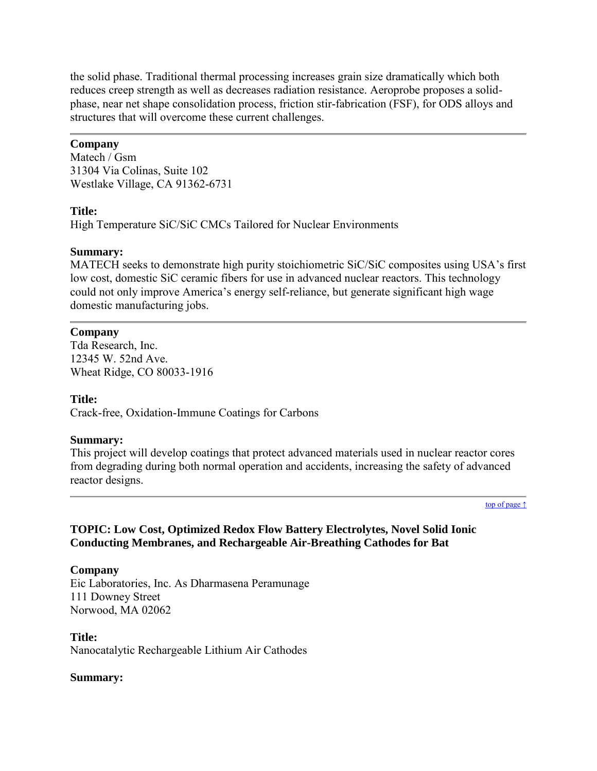the solid phase. Traditional thermal processing increases grain size dramatically which both reduces creep strength as well as decreases radiation resistance. Aeroprobe proposes a solidphase, near net shape consolidation process, friction stir-fabrication (FSF), for ODS alloys and structures that will overcome these current challenges.

## **Company**

Matech / Gsm 31304 Via Colinas, Suite 102 Westlake Village, CA 91362-6731

## **Title:**

High Temperature SiC/SiC CMCs Tailored for Nuclear Environments

## **Summary:**

MATECH seeks to demonstrate high purity stoichiometric SiC/SiC composites using USA's first low cost, domestic SiC ceramic fibers for use in advanced nuclear reactors. This technology could not only improve America's energy self-reliance, but generate significant high wage domestic manufacturing jobs.

## **Company**

Tda Research, Inc. 12345 W. 52nd Ave. Wheat Ridge, CO 80033-1916

## **Title:**

Crack-free, Oxidation-Immune Coatings for Carbons

## **Summary:**

This project will develop coatings that protect advanced materials used in nuclear reactor cores from degrading during both normal operation and accidents, increasing the safety of advanced reactor designs.

[top of page ↑](#page-0-0)

```
TOPIC: Low Cost, Optimized Redox Flow Battery Electrolytes, Novel Solid Ionic 
Conducting Membranes, and Rechargeable Air-Breathing Cathodes for Bat
```
## **Company**

Eic Laboratories, Inc. As Dharmasena Peramunage 111 Downey Street Norwood, MA 02062

**Title:** Nanocatalytic Rechargeable Lithium Air Cathodes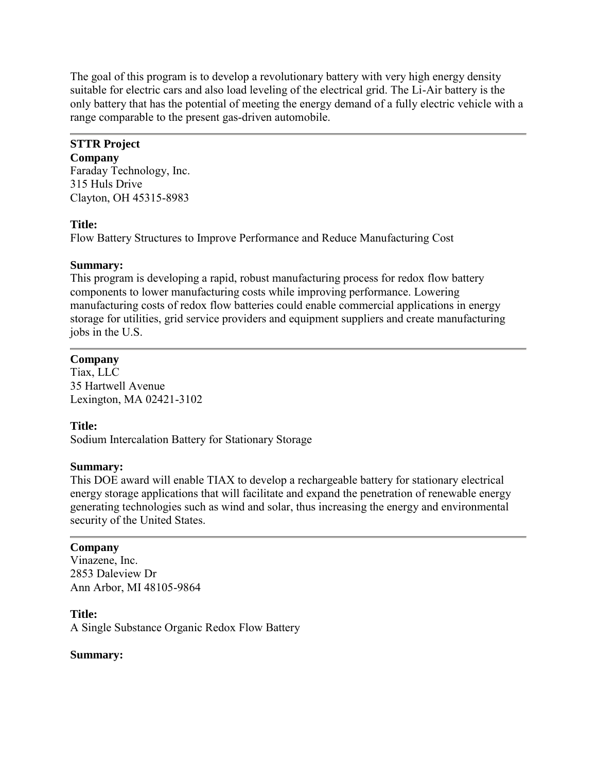The goal of this program is to develop a revolutionary battery with very high energy density suitable for electric cars and also load leveling of the electrical grid. The Li-Air battery is the only battery that has the potential of meeting the energy demand of a fully electric vehicle with a range comparable to the present gas-driven automobile.

## **STTR Project**

**Company** Faraday Technology, Inc. 315 Huls Drive Clayton, OH 45315-8983

## **Title:**

Flow Battery Structures to Improve Performance and Reduce Manufacturing Cost

## **Summary:**

This program is developing a rapid, robust manufacturing process for redox flow battery components to lower manufacturing costs while improving performance. Lowering manufacturing costs of redox flow batteries could enable commercial applications in energy storage for utilities, grid service providers and equipment suppliers and create manufacturing jobs in the U.S.

## **Company**

Tiax, LLC 35 Hartwell Avenue Lexington, MA 02421-3102

## **Title:**

Sodium Intercalation Battery for Stationary Storage

## **Summary:**

This DOE award will enable TIAX to develop a rechargeable battery for stationary electrical energy storage applications that will facilitate and expand the penetration of renewable energy generating technologies such as wind and solar, thus increasing the energy and environmental security of the United States.

## **Company**

Vinazene, Inc. 2853 Daleview Dr Ann Arbor, MI 48105-9864

## **Title:**

A Single Substance Organic Redox Flow Battery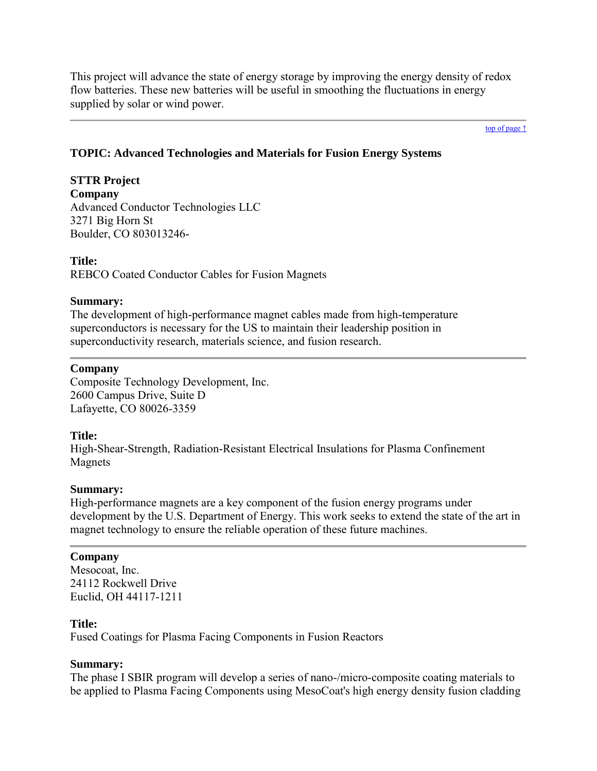This project will advance the state of energy storage by improving the energy density of redox flow batteries. These new batteries will be useful in smoothing the fluctuations in energy supplied by solar or wind power.

[top of page ↑](#page-0-0)

## <span id="page-37-0"></span>**TOPIC: Advanced Technologies and Materials for Fusion Energy Systems**

**STTR Project Company** Advanced Conductor Technologies LLC 3271 Big Horn St Boulder, CO 803013246-

**Title:** REBCO Coated Conductor Cables for Fusion Magnets

#### **Summary:**

The development of high-performance magnet cables made from high-temperature superconductors is necessary for the US to maintain their leadership position in superconductivity research, materials science, and fusion research.

### **Company**

Composite Technology Development, Inc. 2600 Campus Drive, Suite D Lafayette, CO 80026-3359

## **Title:**

High-Shear-Strength, Radiation-Resistant Electrical Insulations for Plasma Confinement Magnets

#### **Summary:**

High-performance magnets are a key component of the fusion energy programs under development by the U.S. Department of Energy. This work seeks to extend the state of the art in magnet technology to ensure the reliable operation of these future machines.

#### **Company**

Mesocoat, Inc. 24112 Rockwell Drive Euclid, OH 44117-1211

## **Title:**

Fused Coatings for Plasma Facing Components in Fusion Reactors

## **Summary:**

The phase I SBIR program will develop a series of nano-/micro-composite coating materials to be applied to Plasma Facing Components using MesoCoat's high energy density fusion cladding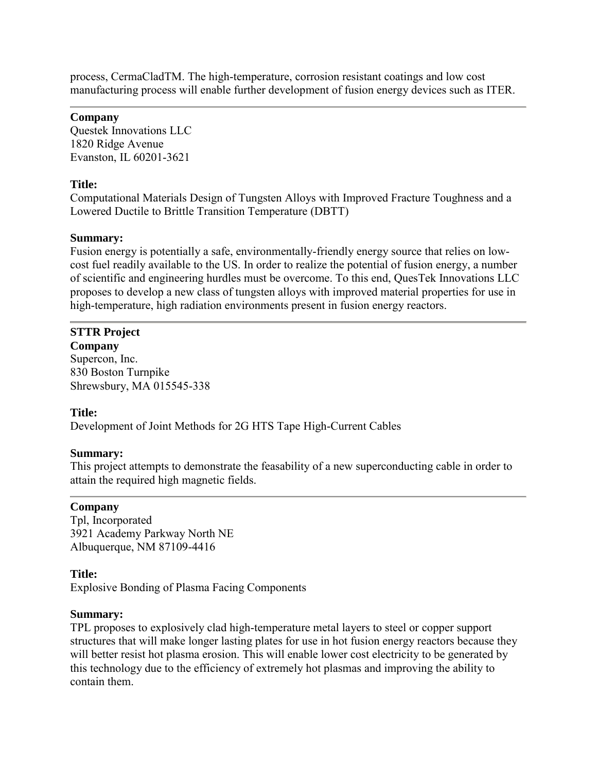process, CermaCladTM. The high-temperature, corrosion resistant coatings and low cost manufacturing process will enable further development of fusion energy devices such as ITER.

## **Company**

Questek Innovations LLC 1820 Ridge Avenue Evanston, IL 60201-3621

## **Title:**

Computational Materials Design of Tungsten Alloys with Improved Fracture Toughness and a Lowered Ductile to Brittle Transition Temperature (DBTT)

## **Summary:**

Fusion energy is potentially a safe, environmentally-friendly energy source that relies on lowcost fuel readily available to the US. In order to realize the potential of fusion energy, a number of scientific and engineering hurdles must be overcome. To this end, QuesTek Innovations LLC proposes to develop a new class of tungsten alloys with improved material properties for use in high-temperature, high radiation environments present in fusion energy reactors.

# **STTR Project**

**Company** Supercon, Inc. 830 Boston Turnpike Shrewsbury, MA 015545-338

## **Title:**

Development of Joint Methods for 2G HTS Tape High-Current Cables

## **Summary:**

This project attempts to demonstrate the feasability of a new superconducting cable in order to attain the required high magnetic fields.

## **Company**

Tpl, Incorporated 3921 Academy Parkway North NE Albuquerque, NM 87109-4416

## **Title:**

Explosive Bonding of Plasma Facing Components

## **Summary:**

TPL proposes to explosively clad high-temperature metal layers to steel or copper support structures that will make longer lasting plates for use in hot fusion energy reactors because they will better resist hot plasma erosion. This will enable lower cost electricity to be generated by this technology due to the efficiency of extremely hot plasmas and improving the ability to contain them.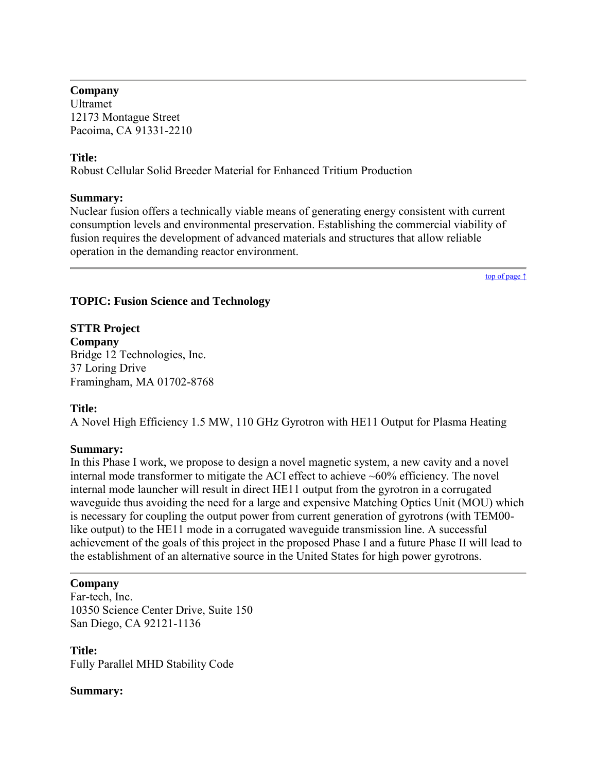## **Company**

Ultramet 12173 Montague Street Pacoima, CA 91331-2210

## **Title:**

Robust Cellular Solid Breeder Material for Enhanced Tritium Production

## **Summary:**

Nuclear fusion offers a technically viable means of generating energy consistent with current consumption levels and environmental preservation. Establishing the commercial viability of fusion requires the development of advanced materials and structures that allow reliable operation in the demanding reactor environment.

[top of page ↑](#page-0-0)

## <span id="page-39-0"></span>**TOPIC: Fusion Science and Technology**

## **STTR Project Company** Bridge 12 Technologies, Inc. 37 Loring Drive Framingham, MA 01702-8768

## **Title:**

A Novel High Efficiency 1.5 MW, 110 GHz Gyrotron with HE11 Output for Plasma Heating

## **Summary:**

In this Phase I work, we propose to design a novel magnetic system, a new cavity and a novel internal mode transformer to mitigate the ACI effect to achieve ~60% efficiency. The novel internal mode launcher will result in direct HE11 output from the gyrotron in a corrugated waveguide thus avoiding the need for a large and expensive Matching Optics Unit (MOU) which is necessary for coupling the output power from current generation of gyrotrons (with TEM00 like output) to the HE11 mode in a corrugated waveguide transmission line. A successful achievement of the goals of this project in the proposed Phase I and a future Phase II will lead to the establishment of an alternative source in the United States for high power gyrotrons.

## **Company**

Far-tech, Inc. 10350 Science Center Drive, Suite 150 San Diego, CA 92121-1136

**Title:** Fully Parallel MHD Stability Code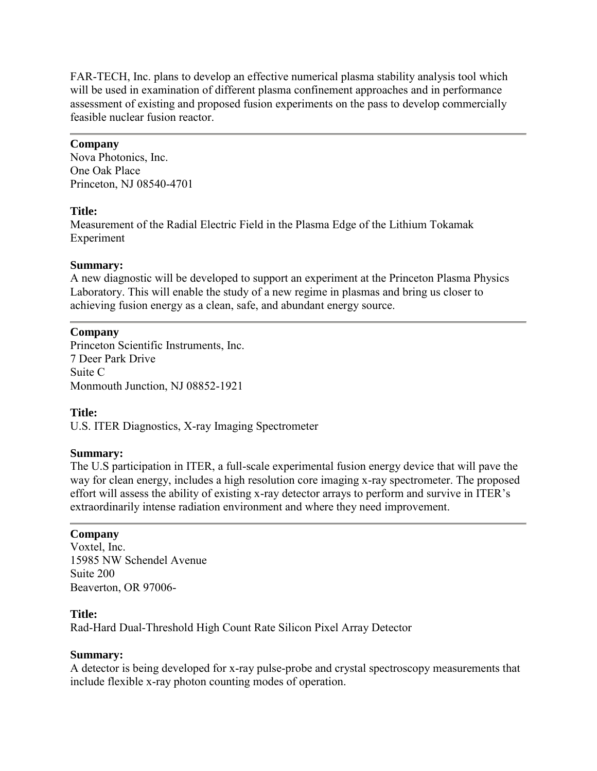FAR-TECH, Inc. plans to develop an effective numerical plasma stability analysis tool which will be used in examination of different plasma confinement approaches and in performance assessment of existing and proposed fusion experiments on the pass to develop commercially feasible nuclear fusion reactor.

## **Company**

Nova Photonics, Inc. One Oak Place Princeton, NJ 08540-4701

## **Title:**

Measurement of the Radial Electric Field in the Plasma Edge of the Lithium Tokamak Experiment

## **Summary:**

A new diagnostic will be developed to support an experiment at the Princeton Plasma Physics Laboratory. This will enable the study of a new regime in plasmas and bring us closer to achieving fusion energy as a clean, safe, and abundant energy source.

## **Company**

Princeton Scientific Instruments, Inc. 7 Deer Park Drive Suite C Monmouth Junction, NJ 08852-1921

## **Title:**

U.S. ITER Diagnostics, X-ray Imaging Spectrometer

## **Summary:**

The U.S participation in ITER, a full-scale experimental fusion energy device that will pave the way for clean energy, includes a high resolution core imaging x-ray spectrometer. The proposed effort will assess the ability of existing x-ray detector arrays to perform and survive in ITER's extraordinarily intense radiation environment and where they need improvement.

## **Company**

Voxtel, Inc. 15985 NW Schendel Avenue Suite 200 Beaverton, OR 97006-

## **Title:**

Rad-Hard Dual-Threshold High Count Rate Silicon Pixel Array Detector

## **Summary:**

A detector is being developed for x-ray pulse-probe and crystal spectroscopy measurements that include flexible x-ray photon counting modes of operation.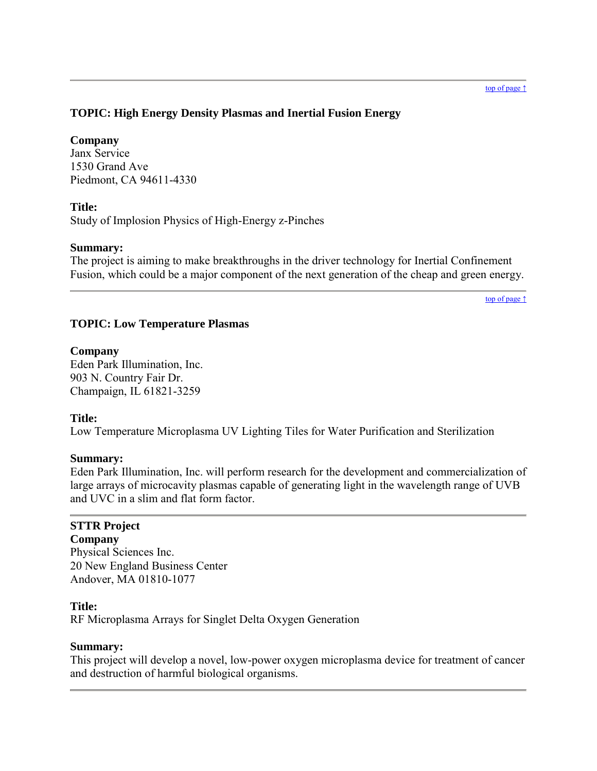## <span id="page-41-0"></span>**TOPIC: High Energy Density Plasmas and Inertial Fusion Energy**

## **Company**

Janx Service 1530 Grand Ave Piedmont, CA 94611-4330

## **Title:**

Study of Implosion Physics of High-Energy z-Pinches

## **Summary:**

The project is aiming to make breakthroughs in the driver technology for Inertial Confinement Fusion, which could be a major component of the next generation of the cheap and green energy.

[top of page ↑](#page-0-0)

## <span id="page-41-1"></span>**TOPIC: Low Temperature Plasmas**

## **Company**

Eden Park Illumination, Inc. 903 N. Country Fair Dr. Champaign, IL 61821-3259

## **Title:**

Low Temperature Microplasma UV Lighting Tiles for Water Purification and Sterilization

## **Summary:**

Eden Park Illumination, Inc. will perform research for the development and commercialization of large arrays of microcavity plasmas capable of generating light in the wavelength range of UVB and UVC in a slim and flat form factor.

## **STTR Project**

**Company** Physical Sciences Inc. 20 New England Business Center Andover, MA 01810-1077

## **Title:**

RF Microplasma Arrays for Singlet Delta Oxygen Generation

## **Summary:**

This project will develop a novel, low-power oxygen microplasma device for treatment of cancer and destruction of harmful biological organisms.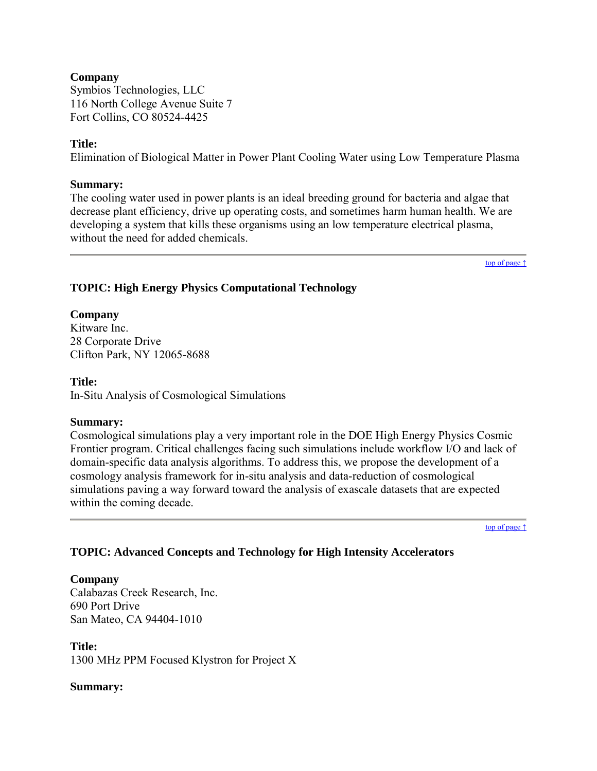## **Company**

Symbios Technologies, LLC 116 North College Avenue Suite 7 Fort Collins, CO 80524-4425

## **Title:**

Elimination of Biological Matter in Power Plant Cooling Water using Low Temperature Plasma

### **Summary:**

The cooling water used in power plants is an ideal breeding ground for bacteria and algae that decrease plant efficiency, drive up operating costs, and sometimes harm human health. We are developing a system that kills these organisms using an low temperature electrical plasma, without the need for added chemicals.

[top of page ↑](#page-0-0)

## <span id="page-42-0"></span>**TOPIC: High Energy Physics Computational Technology**

## **Company**

Kitware Inc. 28 Corporate Drive Clifton Park, NY 12065-8688

### **Title:**

In-Situ Analysis of Cosmological Simulations

## **Summary:**

Cosmological simulations play a very important role in the DOE High Energy Physics Cosmic Frontier program. Critical challenges facing such simulations include workflow I/O and lack of domain-specific data analysis algorithms. To address this, we propose the development of a cosmology analysis framework for in-situ analysis and data-reduction of cosmological simulations paving a way forward toward the analysis of exascale datasets that are expected within the coming decade.

[top of page ↑](#page-0-0)

## <span id="page-42-1"></span>**TOPIC: Advanced Concepts and Technology for High Intensity Accelerators**

## **Company**

Calabazas Creek Research, Inc. 690 Port Drive San Mateo, CA 94404-1010

**Title:** 1300 MHz PPM Focused Klystron for Project X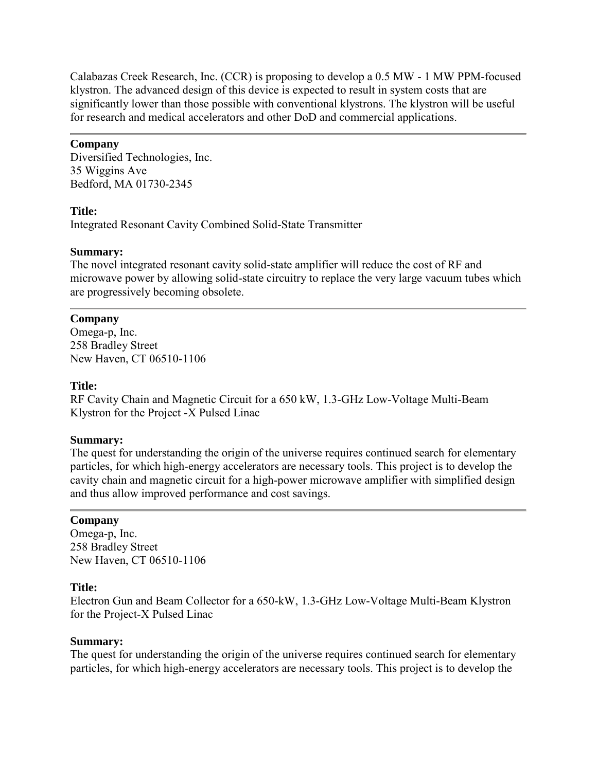Calabazas Creek Research, Inc. (CCR) is proposing to develop a 0.5 MW - 1 MW PPM-focused klystron. The advanced design of this device is expected to result in system costs that are significantly lower than those possible with conventional klystrons. The klystron will be useful for research and medical accelerators and other DoD and commercial applications.

## **Company**

Diversified Technologies, Inc. 35 Wiggins Ave Bedford, MA 01730-2345

## **Title:**

Integrated Resonant Cavity Combined Solid-State Transmitter

## **Summary:**

The novel integrated resonant cavity solid-state amplifier will reduce the cost of RF and microwave power by allowing solid-state circuitry to replace the very large vacuum tubes which are progressively becoming obsolete.

## **Company**

Omega-p, Inc. 258 Bradley Street New Haven, CT 06510-1106

## **Title:**

RF Cavity Chain and Magnetic Circuit for a 650 kW, 1.3-GHz Low-Voltage Multi-Beam Klystron for the Project -X Pulsed Linac

## **Summary:**

The quest for understanding the origin of the universe requires continued search for elementary particles, for which high-energy accelerators are necessary tools. This project is to develop the cavity chain and magnetic circuit for a high-power microwave amplifier with simplified design and thus allow improved performance and cost savings.

## **Company**

Omega-p, Inc. 258 Bradley Street New Haven, CT 06510-1106

## **Title:**

Electron Gun and Beam Collector for a 650-kW, 1.3-GHz Low-Voltage Multi-Beam Klystron for the Project-X Pulsed Linac

## **Summary:**

The quest for understanding the origin of the universe requires continued search for elementary particles, for which high-energy accelerators are necessary tools. This project is to develop the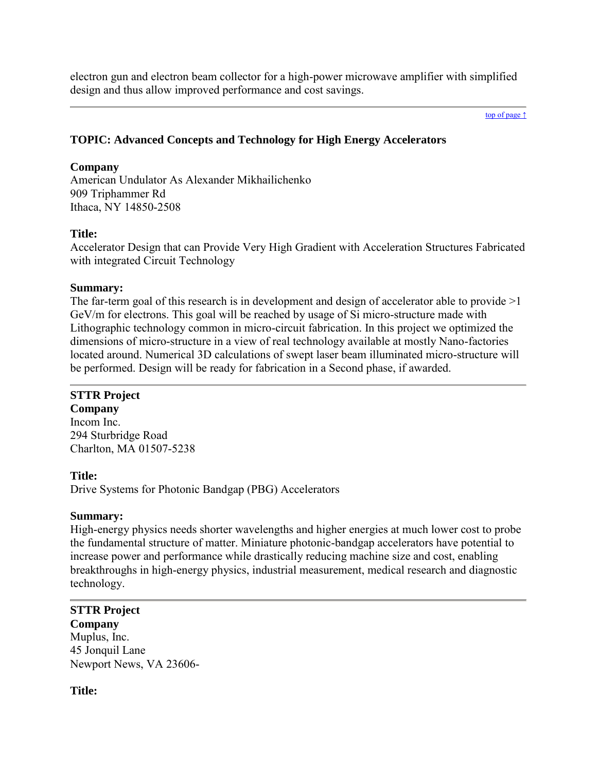electron gun and electron beam collector for a high-power microwave amplifier with simplified design and thus allow improved performance and cost savings.

#### [top of page ↑](#page-0-0)

## <span id="page-44-0"></span>**TOPIC: Advanced Concepts and Technology for High Energy Accelerators**

#### **Company**

American Undulator As Alexander Mikhailichenko 909 Triphammer Rd Ithaca, NY 14850-2508

### **Title:**

Accelerator Design that can Provide Very High Gradient with Acceleration Structures Fabricated with integrated Circuit Technology

### **Summary:**

The far-term goal of this research is in development and design of accelerator able to provide  $>1$ GeV/m for electrons. This goal will be reached by usage of Si micro-structure made with Lithographic technology common in micro-circuit fabrication. In this project we optimized the dimensions of micro-structure in a view of real technology available at mostly Nano-factories located around. Numerical 3D calculations of swept laser beam illuminated micro-structure will be performed. Design will be ready for fabrication in a Second phase, if awarded.

## **STTR Project**

**Company** Incom Inc. 294 Sturbridge Road Charlton, MA 01507-5238

**Title:**

Drive Systems for Photonic Bandgap (PBG) Accelerators

#### **Summary:**

High-energy physics needs shorter wavelengths and higher energies at much lower cost to probe the fundamental structure of matter. Miniature photonic-bandgap accelerators have potential to increase power and performance while drastically reducing machine size and cost, enabling breakthroughs in high-energy physics, industrial measurement, medical research and diagnostic technology.

## **STTR Project**

**Company** Muplus, Inc. 45 Jonquil Lane Newport News, VA 23606-

#### **Title:**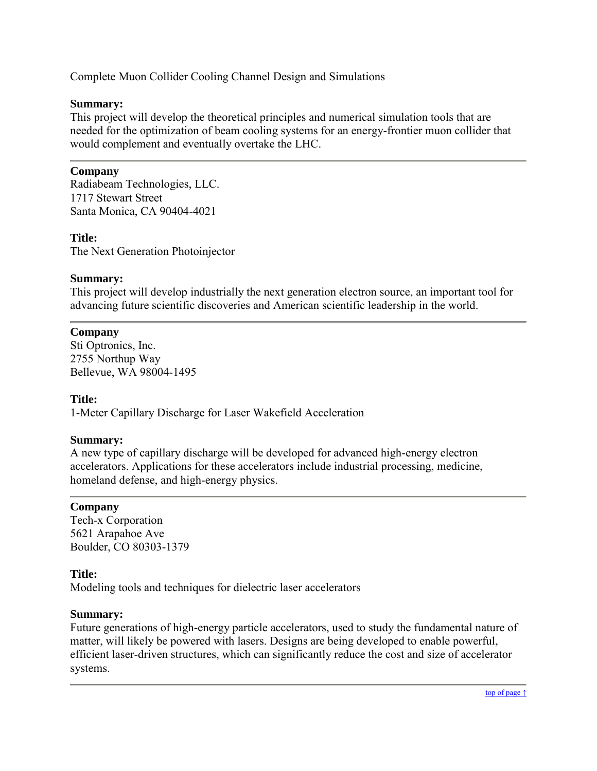Complete Muon Collider Cooling Channel Design and Simulations

## **Summary:**

This project will develop the theoretical principles and numerical simulation tools that are needed for the optimization of beam cooling systems for an energy-frontier muon collider that would complement and eventually overtake the LHC.

## **Company**

Radiabeam Technologies, LLC. 1717 Stewart Street Santa Monica, CA 90404-4021

## **Title:**

The Next Generation Photoinjector

## **Summary:**

This project will develop industrially the next generation electron source, an important tool for advancing future scientific discoveries and American scientific leadership in the world.

## **Company**

Sti Optronics, Inc. 2755 Northup Way Bellevue, WA 98004-1495

## **Title:**

1-Meter Capillary Discharge for Laser Wakefield Acceleration

## **Summary:**

A new type of capillary discharge will be developed for advanced high-energy electron accelerators. Applications for these accelerators include industrial processing, medicine, homeland defense, and high-energy physics.

## **Company**

Tech-x Corporation 5621 Arapahoe Ave Boulder, CO 80303-1379

## **Title:**

Modeling tools and techniques for dielectric laser accelerators

## **Summary:**

<span id="page-45-0"></span>Future generations of high-energy particle accelerators, used to study the fundamental nature of matter, will likely be powered with lasers. Designs are being developed to enable powerful, efficient laser-driven structures, which can significantly reduce the cost and size of accelerator systems.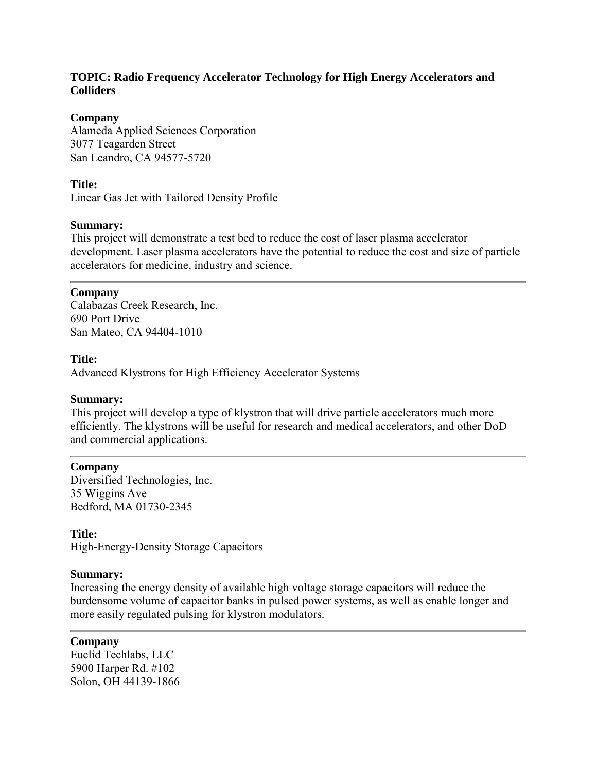## **TOPIC: Radio Frequency Accelerator Technology for High Energy Accelerators and Colliders**

## **Company**

Alameda Applied Sciences Corporation 3077 Teagarden Street San Leandro, CA 94577-5720

## **Title:**

Linear Gas Jet with Tailored Density Profile

## **Summary:**

This project will demonstrate a test bed to reduce the cost of laser plasma accelerator development. Laser plasma accelerators have the potential to reduce the cost and size of particle accelerators for medicine, industry and science.

## **Company**

Calabazas Creek Research, Inc. 690 Port Drive San Mateo, CA 94404-1010

## **Title:**

Advanced Klystrons for High Efficiency Accelerator Systems

## **Summary:**

This project will develop a type of klystron that will drive particle accelerators much more efficiently. The klystrons will be useful for research and medical accelerators, and other DoD and commercial applications.

## **Company**

Diversified Technologies, Inc. 35 Wiggins Ave Bedford, MA 01730-2345

## **Title:**

High-Energy-Density Storage Capacitors

## **Summary:**

Increasing the energy density of available high voltage storage capacitors will reduce the burdensome volume of capacitor banks in pulsed power systems, as well as enable longer and more easily regulated pulsing for klystron modulators.

**Company** Euclid Techlabs, LLC 5900 Harper Rd. #102 Solon, OH 44139-1866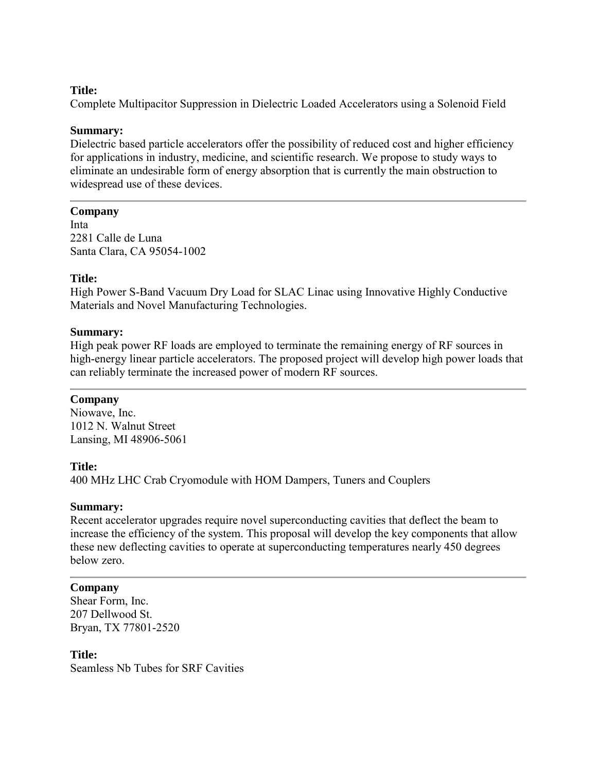## **Title:**

Complete Multipacitor Suppression in Dielectric Loaded Accelerators using a Solenoid Field

#### **Summary:**

Dielectric based particle accelerators offer the possibility of reduced cost and higher efficiency for applications in industry, medicine, and scientific research. We propose to study ways to eliminate an undesirable form of energy absorption that is currently the main obstruction to widespread use of these devices.

### **Company**

Inta 2281 Calle de Luna Santa Clara, CA 95054-1002

### **Title:**

High Power S-Band Vacuum Dry Load for SLAC Linac using Innovative Highly Conductive Materials and Novel Manufacturing Technologies.

#### **Summary:**

High peak power RF loads are employed to terminate the remaining energy of RF sources in high-energy linear particle accelerators. The proposed project will develop high power loads that can reliably terminate the increased power of modern RF sources.

## **Company**

Niowave, Inc. 1012 N. Walnut Street Lansing, MI 48906-5061

#### **Title:**

400 MHz LHC Crab Cryomodule with HOM Dampers, Tuners and Couplers

#### **Summary:**

Recent accelerator upgrades require novel superconducting cavities that deflect the beam to increase the efficiency of the system. This proposal will develop the key components that allow these new deflecting cavities to operate at superconducting temperatures nearly 450 degrees below zero.

#### **Company**

Shear Form, Inc. 207 Dellwood St. Bryan, TX 77801-2520

#### **Title:**

Seamless Nb Tubes for SRF Cavities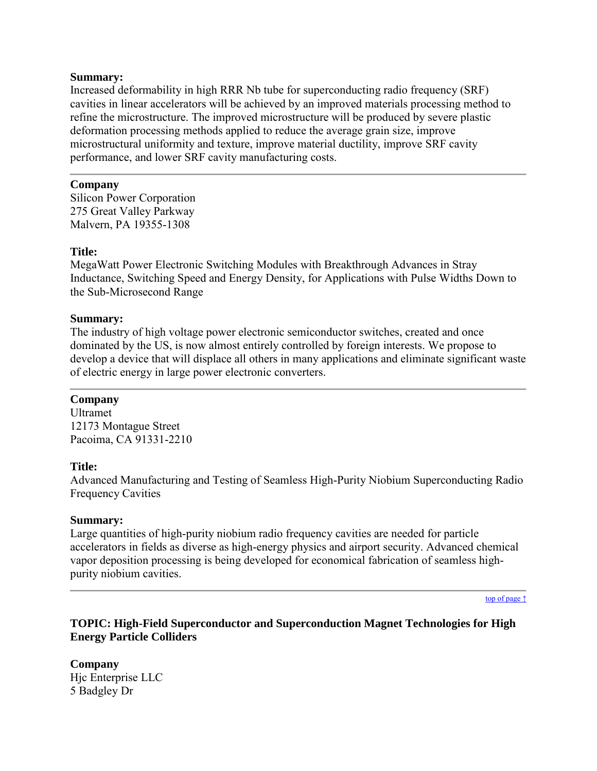Increased deformability in high RRR Nb tube for superconducting radio frequency (SRF) cavities in linear accelerators will be achieved by an improved materials processing method to refine the microstructure. The improved microstructure will be produced by severe plastic deformation processing methods applied to reduce the average grain size, improve microstructural uniformity and texture, improve material ductility, improve SRF cavity performance, and lower SRF cavity manufacturing costs.

## **Company**

Silicon Power Corporation 275 Great Valley Parkway Malvern, PA 19355-1308

## **Title:**

MegaWatt Power Electronic Switching Modules with Breakthrough Advances in Stray Inductance, Switching Speed and Energy Density, for Applications with Pulse Widths Down to the Sub-Microsecond Range

### **Summary:**

The industry of high voltage power electronic semiconductor switches, created and once dominated by the US, is now almost entirely controlled by foreign interests. We propose to develop a device that will displace all others in many applications and eliminate significant waste of electric energy in large power electronic converters.

## **Company**

Ultramet 12173 Montague Street Pacoima, CA 91331-2210

#### **Title:**

Advanced Manufacturing and Testing of Seamless High-Purity Niobium Superconducting Radio Frequency Cavities

#### **Summary:**

Large quantities of high-purity niobium radio frequency cavities are needed for particle accelerators in fields as diverse as high-energy physics and airport security. Advanced chemical vapor deposition processing is being developed for economical fabrication of seamless highpurity niobium cavities.

[top of page ↑](#page-0-0)

## <span id="page-48-0"></span>**TOPIC: High-Field Superconductor and Superconduction Magnet Technologies for High Energy Particle Colliders**

**Company** Hjc Enterprise LLC 5 Badgley Dr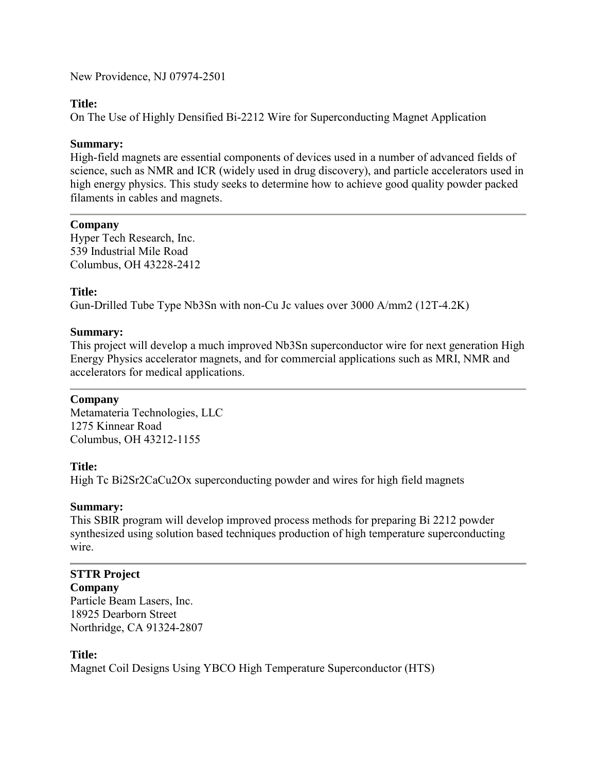New Providence, NJ 07974-2501

## **Title:**

On The Use of Highly Densified Bi-2212 Wire for Superconducting Magnet Application

## **Summary:**

High-field magnets are essential components of devices used in a number of advanced fields of science, such as NMR and ICR (widely used in drug discovery), and particle accelerators used in high energy physics. This study seeks to determine how to achieve good quality powder packed filaments in cables and magnets.

## **Company**

Hyper Tech Research, Inc. 539 Industrial Mile Road Columbus, OH 43228-2412

## **Title:**

Gun-Drilled Tube Type Nb3Sn with non-Cu Jc values over 3000 A/mm2 (12T-4.2K)

## **Summary:**

This project will develop a much improved Nb3Sn superconductor wire for next generation High Energy Physics accelerator magnets, and for commercial applications such as MRI, NMR and accelerators for medical applications.

## **Company**

Metamateria Technologies, LLC 1275 Kinnear Road Columbus, OH 43212-1155

## **Title:**

High Tc Bi2Sr2CaCu2Ox superconducting powder and wires for high field magnets

## **Summary:**

This SBIR program will develop improved process methods for preparing Bi 2212 powder synthesized using solution based techniques production of high temperature superconducting wire.

# **STTR Project**

**Company** Particle Beam Lasers, Inc. 18925 Dearborn Street Northridge, CA 91324-2807

## **Title:**

Magnet Coil Designs Using YBCO High Temperature Superconductor (HTS)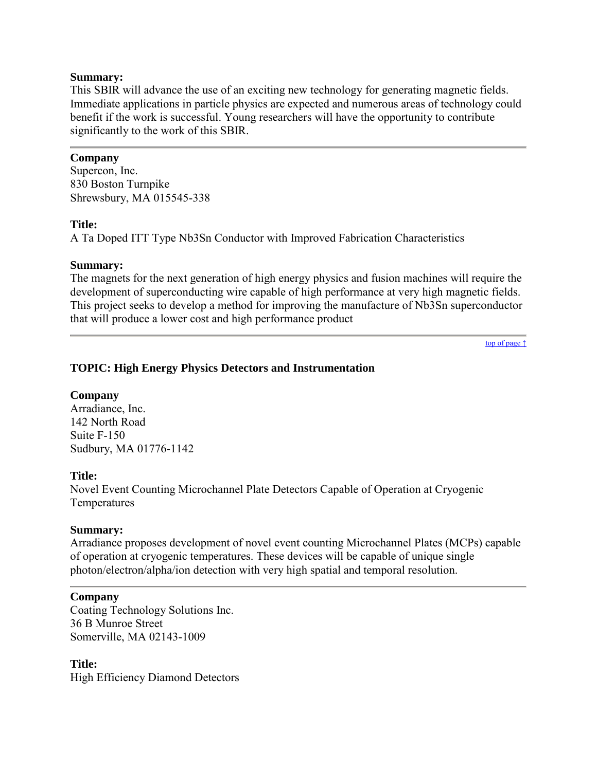This SBIR will advance the use of an exciting new technology for generating magnetic fields. Immediate applications in particle physics are expected and numerous areas of technology could benefit if the work is successful. Young researchers will have the opportunity to contribute significantly to the work of this SBIR.

## **Company**

Supercon, Inc. 830 Boston Turnpike Shrewsbury, MA 015545-338

### **Title:**

A Ta Doped ITT Type Nb3Sn Conductor with Improved Fabrication Characteristics

### **Summary:**

The magnets for the next generation of high energy physics and fusion machines will require the development of superconducting wire capable of high performance at very high magnetic fields. This project seeks to develop a method for improving the manufacture of Nb3Sn superconductor that will produce a lower cost and high performance product

[top of page ↑](#page-0-0)

## <span id="page-50-0"></span>**TOPIC: High Energy Physics Detectors and Instrumentation**

#### **Company**

Arradiance, Inc. 142 North Road Suite F-150 Sudbury, MA 01776-1142

## **Title:**

Novel Event Counting Microchannel Plate Detectors Capable of Operation at Cryogenic Temperatures

## **Summary:**

Arradiance proposes development of novel event counting Microchannel Plates (MCPs) capable of operation at cryogenic temperatures. These devices will be capable of unique single photon/electron/alpha/ion detection with very high spatial and temporal resolution.

#### **Company**

Coating Technology Solutions Inc. 36 B Munroe Street Somerville, MA 02143-1009

**Title:** High Efficiency Diamond Detectors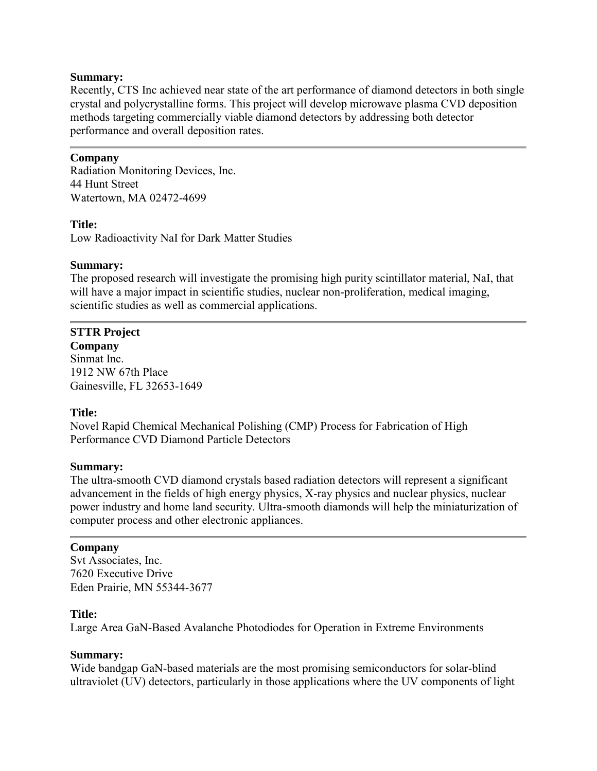Recently, CTS Inc achieved near state of the art performance of diamond detectors in both single crystal and polycrystalline forms. This project will develop microwave plasma CVD deposition methods targeting commercially viable diamond detectors by addressing both detector performance and overall deposition rates.

### **Company**

Radiation Monitoring Devices, Inc. 44 Hunt Street Watertown, MA 02472-4699

### **Title:**

Low Radioactivity NaI for Dark Matter Studies

### **Summary:**

The proposed research will investigate the promising high purity scintillator material, NaI, that will have a major impact in scientific studies, nuclear non-proliferation, medical imaging, scientific studies as well as commercial applications.

## **STTR Project**

**Company** Sinmat Inc. 1912 NW 67th Place Gainesville, FL 32653-1649

#### **Title:**

Novel Rapid Chemical Mechanical Polishing (CMP) Process for Fabrication of High Performance CVD Diamond Particle Detectors

#### **Summary:**

The ultra-smooth CVD diamond crystals based radiation detectors will represent a significant advancement in the fields of high energy physics, X-ray physics and nuclear physics, nuclear power industry and home land security. Ultra-smooth diamonds will help the miniaturization of computer process and other electronic appliances.

#### **Company**

Svt Associates, Inc. 7620 Executive Drive Eden Prairie, MN 55344-3677

#### **Title:**

Large Area GaN-Based Avalanche Photodiodes for Operation in Extreme Environments

#### **Summary:**

Wide bandgap GaN-based materials are the most promising semiconductors for solar-blind ultraviolet (UV) detectors, particularly in those applications where the UV components of light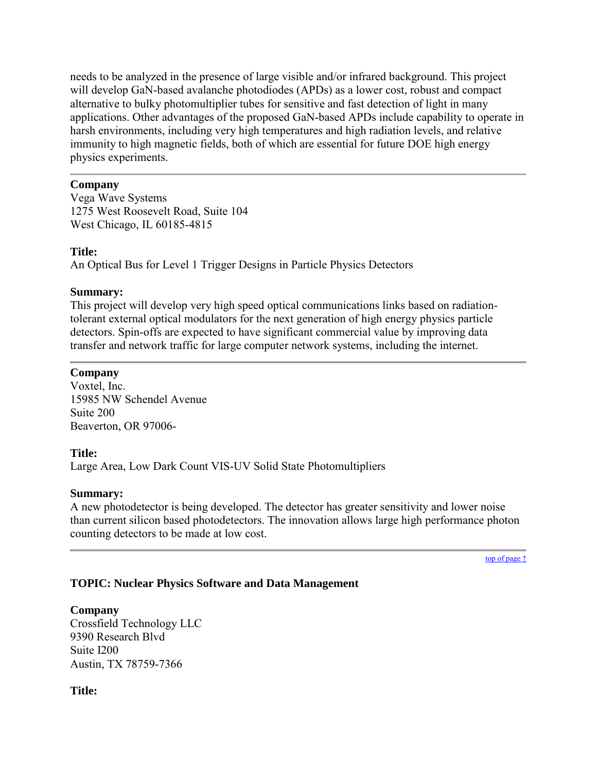needs to be analyzed in the presence of large visible and/or infrared background. This project will develop GaN-based avalanche photodiodes (APDs) as a lower cost, robust and compact alternative to bulky photomultiplier tubes for sensitive and fast detection of light in many applications. Other advantages of the proposed GaN-based APDs include capability to operate in harsh environments, including very high temperatures and high radiation levels, and relative immunity to high magnetic fields, both of which are essential for future DOE high energy physics experiments.

## **Company**

Vega Wave Systems 1275 West Roosevelt Road, Suite 104 West Chicago, IL 60185-4815

## **Title:**

An Optical Bus for Level 1 Trigger Designs in Particle Physics Detectors

## **Summary:**

This project will develop very high speed optical communications links based on radiationtolerant external optical modulators for the next generation of high energy physics particle detectors. Spin-offs are expected to have significant commercial value by improving data transfer and network traffic for large computer network systems, including the internet.

## **Company**

Voxtel, Inc. 15985 NW Schendel Avenue Suite 200 Beaverton, OR 97006-

## **Title:**

Large Area, Low Dark Count VIS-UV Solid State Photomultipliers

## **Summary:**

A new photodetector is being developed. The detector has greater sensitivity and lower noise than current silicon based photodetectors. The innovation allows large high performance photon counting detectors to be made at low cost.

[top of page ↑](#page-0-0)

## <span id="page-52-0"></span>**TOPIC: Nuclear Physics Software and Data Management**

**Company** Crossfield Technology LLC 9390 Research Blvd Suite I200 Austin, TX 78759-7366

**Title:**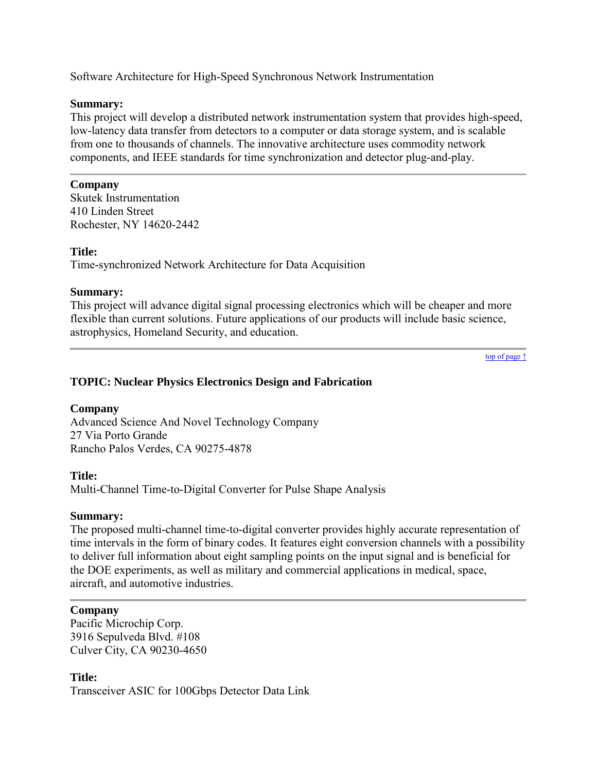Software Architecture for High-Speed Synchronous Network Instrumentation

## **Summary:**

This project will develop a distributed network instrumentation system that provides high-speed, low-latency data transfer from detectors to a computer or data storage system, and is scalable from one to thousands of channels. The innovative architecture uses commodity network components, and IEEE standards for time synchronization and detector plug-and-play.

## **Company**

Skutek Instrumentation 410 Linden Street Rochester, NY 14620-2442

## **Title:**

Time-synchronized Network Architecture for Data Acquisition

## **Summary:**

This project will advance digital signal processing electronics which will be cheaper and more flexible than current solutions. Future applications of our products will include basic science, astrophysics, Homeland Security, and education.

[top of page ↑](#page-0-0)

## <span id="page-53-0"></span>**TOPIC: Nuclear Physics Electronics Design and Fabrication**

## **Company**

Advanced Science And Novel Technology Company 27 Via Porto Grande Rancho Palos Verdes, CA 90275-4878

## **Title:**

Multi-Channel Time-to-Digital Converter for Pulse Shape Analysis

## **Summary:**

The proposed multi-channel time-to-digital converter provides highly accurate representation of time intervals in the form of binary codes. It features eight conversion channels with a possibility to deliver full information about eight sampling points on the input signal and is beneficial for the DOE experiments, as well as military and commercial applications in medical, space, aircraft, and automotive industries.

## **Company**

Pacific Microchip Corp. 3916 Sepulveda Blvd. #108 Culver City, CA 90230-4650

**Title:** Transceiver ASIC for 100Gbps Detector Data Link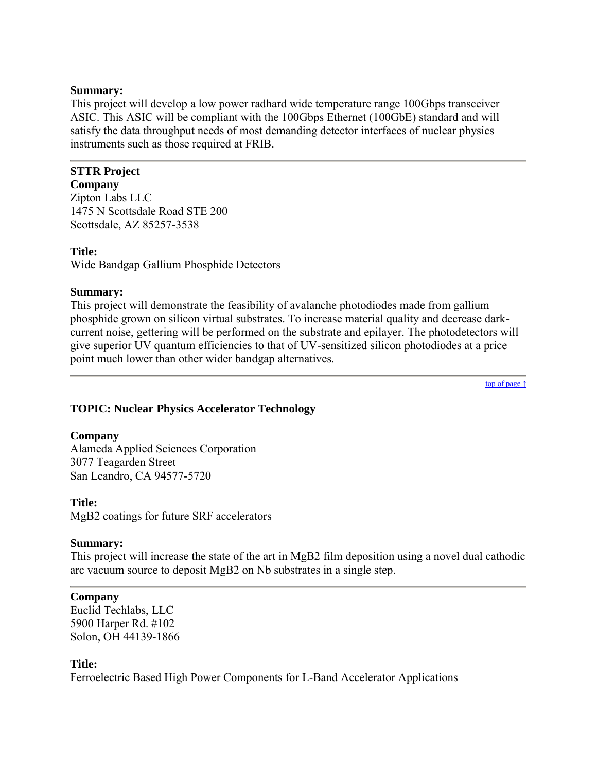This project will develop a low power radhard wide temperature range 100Gbps transceiver ASIC. This ASIC will be compliant with the 100Gbps Ethernet (100GbE) standard and will satisfy the data throughput needs of most demanding detector interfaces of nuclear physics instruments such as those required at FRIB.

#### **STTR Project Company**

Zipton Labs LLC 1475 N Scottsdale Road STE 200 Scottsdale, AZ 85257-3538

## **Title:**

Wide Bandgap Gallium Phosphide Detectors

## **Summary:**

This project will demonstrate the feasibility of avalanche photodiodes made from gallium phosphide grown on silicon virtual substrates. To increase material quality and decrease darkcurrent noise, gettering will be performed on the substrate and epilayer. The photodetectors will give superior UV quantum efficiencies to that of UV-sensitized silicon photodiodes at a price point much lower than other wider bandgap alternatives.

[top of page ↑](#page-0-0)

## <span id="page-54-0"></span>**TOPIC: Nuclear Physics Accelerator Technology**

## **Company**

Alameda Applied Sciences Corporation 3077 Teagarden Street San Leandro, CA 94577-5720

## **Title:**

MgB2 coatings for future SRF accelerators

## **Summary:**

This project will increase the state of the art in MgB2 film deposition using a novel dual cathodic arc vacuum source to deposit MgB2 on Nb substrates in a single step.

## **Company**

Euclid Techlabs, LLC 5900 Harper Rd. #102 Solon, OH 44139-1866

## **Title:**

Ferroelectric Based High Power Components for L-Band Accelerator Applications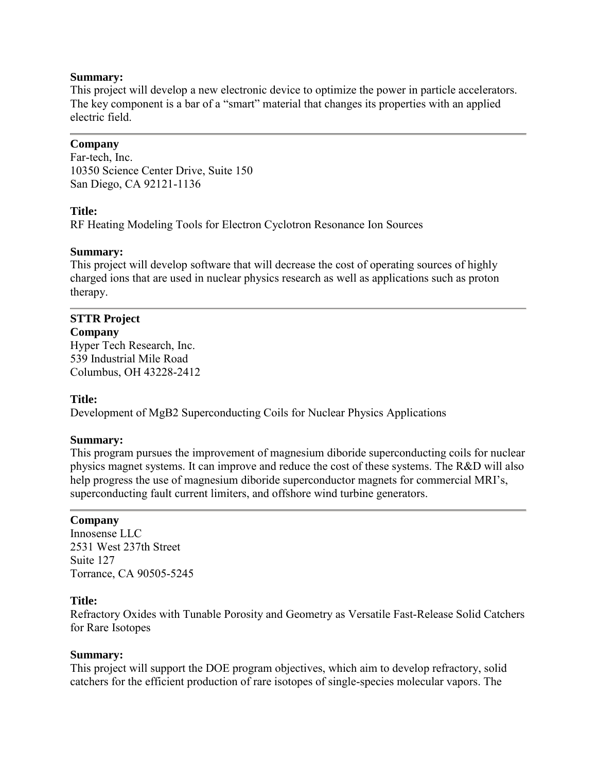This project will develop a new electronic device to optimize the power in particle accelerators. The key component is a bar of a "smart" material that changes its properties with an applied electric field.

## **Company**

Far-tech, Inc. 10350 Science Center Drive, Suite 150 San Diego, CA 92121-1136

## **Title:**

RF Heating Modeling Tools for Electron Cyclotron Resonance Ion Sources

### **Summary:**

This project will develop software that will decrease the cost of operating sources of highly charged ions that are used in nuclear physics research as well as applications such as proton therapy.

## **STTR Project**

**Company** Hyper Tech Research, Inc. 539 Industrial Mile Road Columbus, OH 43228-2412

## **Title:**

Development of MgB2 Superconducting Coils for Nuclear Physics Applications

## **Summary:**

This program pursues the improvement of magnesium diboride superconducting coils for nuclear physics magnet systems. It can improve and reduce the cost of these systems. The R&D will also help progress the use of magnesium diboride superconductor magnets for commercial MRI's, superconducting fault current limiters, and offshore wind turbine generators.

## **Company**

Innosense LLC 2531 West 237th Street Suite 127 Torrance, CA 90505-5245

### **Title:**

Refractory Oxides with Tunable Porosity and Geometry as Versatile Fast-Release Solid Catchers for Rare Isotopes

#### **Summary:**

This project will support the DOE program objectives, which aim to develop refractory, solid catchers for the efficient production of rare isotopes of single-species molecular vapors. The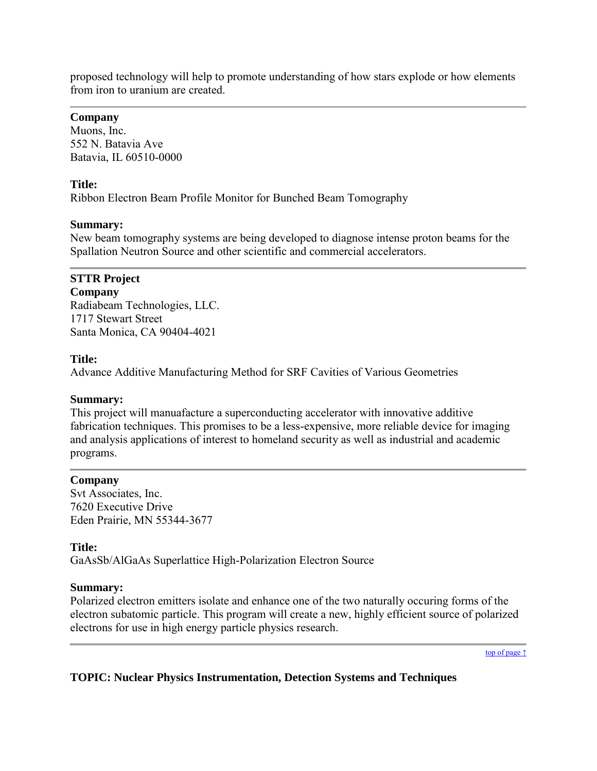proposed technology will help to promote understanding of how stars explode or how elements from iron to uranium are created.

## **Company**

Muons, Inc. 552 N. Batavia Ave Batavia, IL 60510-0000

## **Title:**

Ribbon Electron Beam Profile Monitor for Bunched Beam Tomography

## **Summary:**

New beam tomography systems are being developed to diagnose intense proton beams for the Spallation Neutron Source and other scientific and commercial accelerators.

# **STTR Project**

**Company** Radiabeam Technologies, LLC. 1717 Stewart Street Santa Monica, CA 90404-4021

## **Title:**

Advance Additive Manufacturing Method for SRF Cavities of Various Geometries

## **Summary:**

This project will manuafacture a superconducting accelerator with innovative additive fabrication techniques. This promises to be a less-expensive, more reliable device for imaging and analysis applications of interest to homeland security as well as industrial and academic programs.

## **Company**

Svt Associates, Inc. 7620 Executive Drive Eden Prairie, MN 55344-3677

## **Title:**

GaAsSb/AlGaAs Superlattice High-Polarization Electron Source

## **Summary:**

Polarized electron emitters isolate and enhance one of the two naturally occuring forms of the electron subatomic particle. This program will create a new, highly efficient source of polarized electrons for use in high energy particle physics research.

[top of page ↑](#page-0-0)

## <span id="page-56-0"></span>**TOPIC: Nuclear Physics Instrumentation, Detection Systems and Techniques**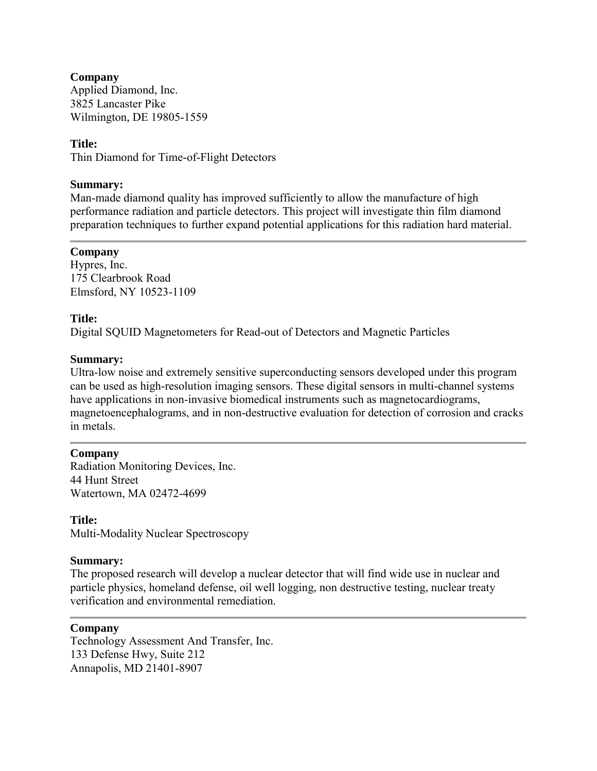**Company** Applied Diamond, Inc. 3825 Lancaster Pike Wilmington, DE 19805-1559

## **Title:**

Thin Diamond for Time-of-Flight Detectors

#### **Summary:**

Man-made diamond quality has improved sufficiently to allow the manufacture of high performance radiation and particle detectors. This project will investigate thin film diamond preparation techniques to further expand potential applications for this radiation hard material.

#### **Company**

Hypres, Inc. 175 Clearbrook Road Elmsford, NY 10523-1109

#### **Title:**

Digital SQUID Magnetometers for Read-out of Detectors and Magnetic Particles

#### **Summary:**

Ultra-low noise and extremely sensitive superconducting sensors developed under this program can be used as high-resolution imaging sensors. These digital sensors in multi-channel systems have applications in non-invasive biomedical instruments such as magnetocardiograms, magnetoencephalograms, and in non-destructive evaluation for detection of corrosion and cracks in metals.

#### **Company**

Radiation Monitoring Devices, Inc. 44 Hunt Street Watertown, MA 02472-4699

**Title:** Multi-Modality Nuclear Spectroscopy

#### **Summary:**

The proposed research will develop a nuclear detector that will find wide use in nuclear and particle physics, homeland defense, oil well logging, non destructive testing, nuclear treaty verification and environmental remediation.

#### **Company**

Technology Assessment And Transfer, Inc. 133 Defense Hwy, Suite 212 Annapolis, MD 21401-8907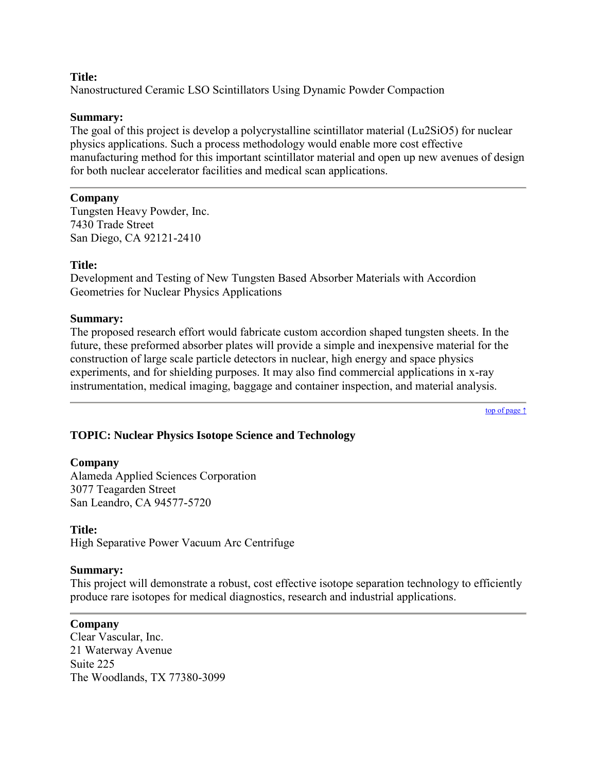### **Title:**

Nanostructured Ceramic LSO Scintillators Using Dynamic Powder Compaction

### **Summary:**

The goal of this project is develop a polycrystalline scintillator material (Lu2SiO5) for nuclear physics applications. Such a process methodology would enable more cost effective manufacturing method for this important scintillator material and open up new avenues of design for both nuclear accelerator facilities and medical scan applications.

### **Company**

Tungsten Heavy Powder, Inc. 7430 Trade Street San Diego, CA 92121-2410

### **Title:**

Development and Testing of New Tungsten Based Absorber Materials with Accordion Geometries for Nuclear Physics Applications

### **Summary:**

The proposed research effort would fabricate custom accordion shaped tungsten sheets. In the future, these preformed absorber plates will provide a simple and inexpensive material for the construction of large scale particle detectors in nuclear, high energy and space physics experiments, and for shielding purposes. It may also find commercial applications in x-ray instrumentation, medical imaging, baggage and container inspection, and material analysis.

[top of page ↑](#page-0-0)

## <span id="page-58-0"></span>**TOPIC: Nuclear Physics Isotope Science and Technology**

## **Company**

Alameda Applied Sciences Corporation 3077 Teagarden Street San Leandro, CA 94577-5720

## **Title:**

High Separative Power Vacuum Arc Centrifuge

#### **Summary:**

This project will demonstrate a robust, cost effective isotope separation technology to efficiently produce rare isotopes for medical diagnostics, research and industrial applications.

## **Company**

Clear Vascular, Inc. 21 Waterway Avenue Suite 225 The Woodlands, TX 77380-3099